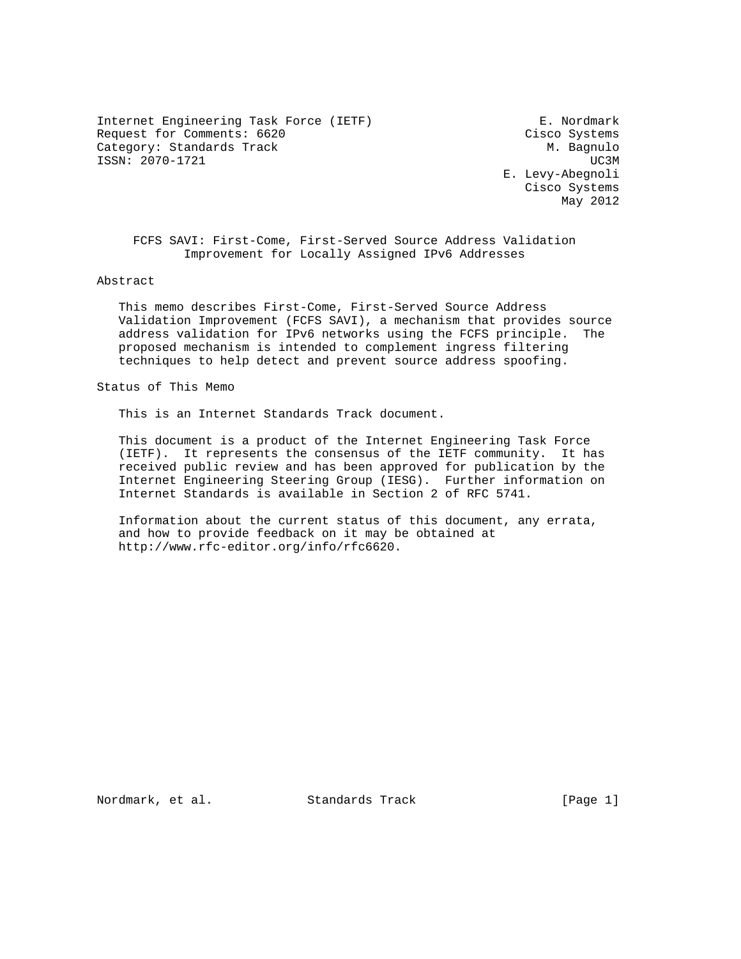Internet Engineering Task Force (IETF) E. Nordmark Request for Comments: 6620 Cisco Systems Category: Standards Track Media and the M. Bagnulo ISSN: 2070-1721 UC3M

 E. Levy-Abegnoli Cisco Systems May 2012

 FCFS SAVI: First-Come, First-Served Source Address Validation Improvement for Locally Assigned IPv6 Addresses

Abstract

 This memo describes First-Come, First-Served Source Address Validation Improvement (FCFS SAVI), a mechanism that provides source address validation for IPv6 networks using the FCFS principle. The proposed mechanism is intended to complement ingress filtering techniques to help detect and prevent source address spoofing.

Status of This Memo

This is an Internet Standards Track document.

 This document is a product of the Internet Engineering Task Force (IETF). It represents the consensus of the IETF community. It has received public review and has been approved for publication by the Internet Engineering Steering Group (IESG). Further information on Internet Standards is available in Section 2 of RFC 5741.

 Information about the current status of this document, any errata, and how to provide feedback on it may be obtained at http://www.rfc-editor.org/info/rfc6620.

Nordmark, et al. Standards Track [Page 1]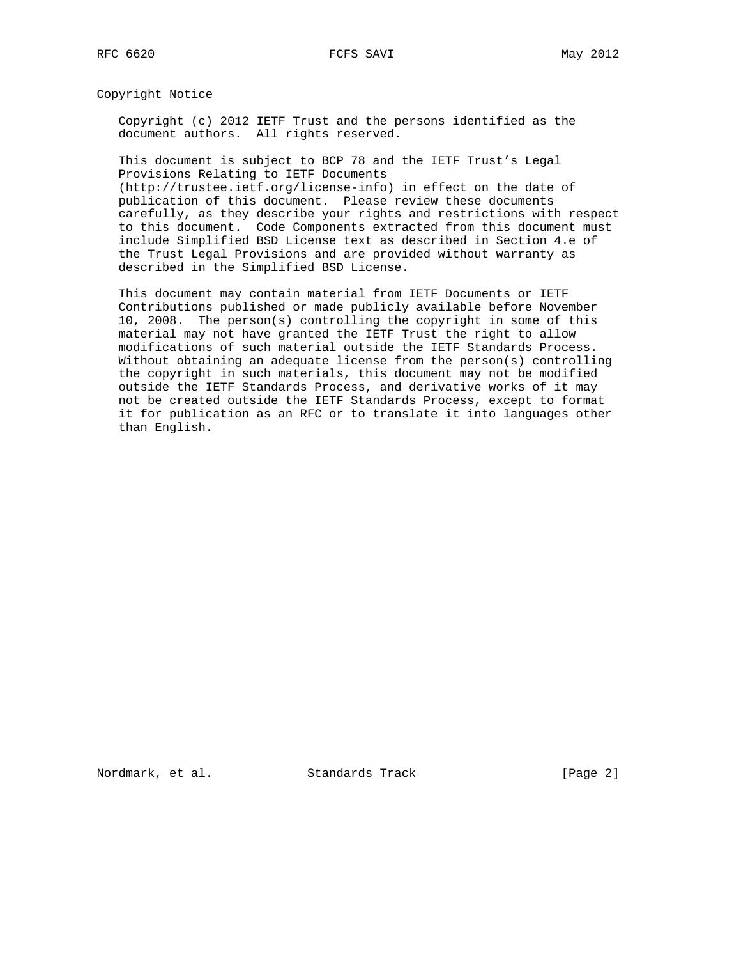Copyright Notice

 Copyright (c) 2012 IETF Trust and the persons identified as the document authors. All rights reserved.

 This document is subject to BCP 78 and the IETF Trust's Legal Provisions Relating to IETF Documents (http://trustee.ietf.org/license-info) in effect on the date of

 publication of this document. Please review these documents carefully, as they describe your rights and restrictions with respect to this document. Code Components extracted from this document must include Simplified BSD License text as described in Section 4.e of the Trust Legal Provisions and are provided without warranty as described in the Simplified BSD License.

 This document may contain material from IETF Documents or IETF Contributions published or made publicly available before November 10, 2008. The person(s) controlling the copyright in some of this material may not have granted the IETF Trust the right to allow modifications of such material outside the IETF Standards Process. Without obtaining an adequate license from the person(s) controlling the copyright in such materials, this document may not be modified outside the IETF Standards Process, and derivative works of it may not be created outside the IETF Standards Process, except to format it for publication as an RFC or to translate it into languages other than English.

Nordmark, et al. Standards Track [Page 2]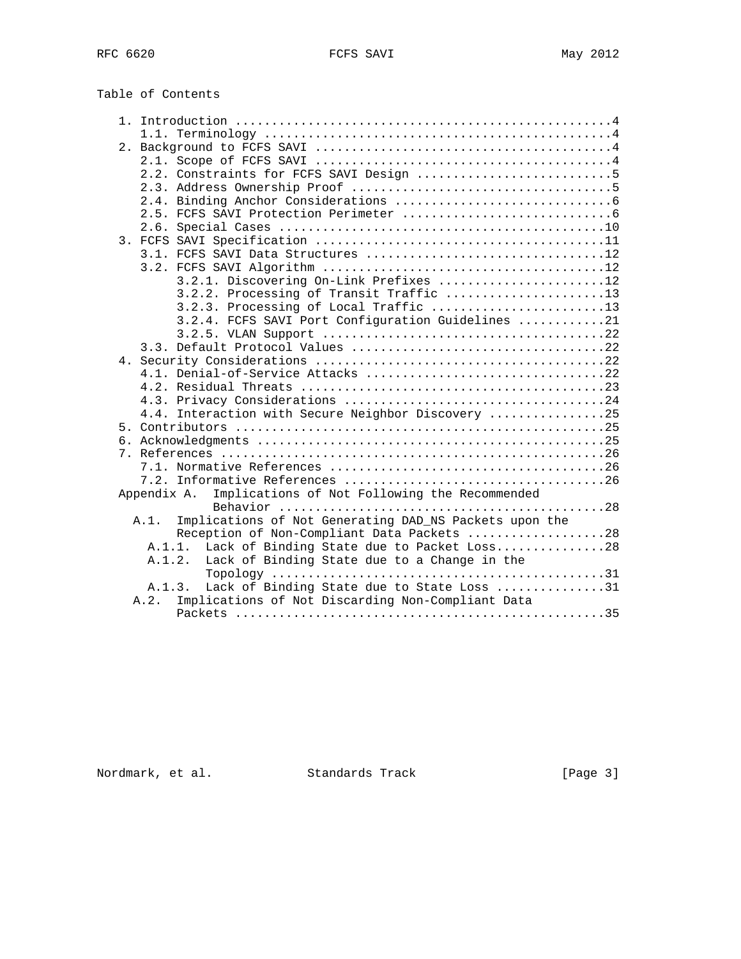Table of Contents

| 3.2.1. Discovering On-Link Prefixes 12                         |
|----------------------------------------------------------------|
| 3.2.2. Processing of Transit Traffic 13                        |
| 3.2.3. Processing of Local Traffic 13                          |
| 3.2.4. FCFS SAVI Port Configuration Guidelines 21              |
|                                                                |
|                                                                |
|                                                                |
| 4.1. Denial-of-Service Attacks 22                              |
|                                                                |
|                                                                |
| 4.4. Interaction with Secure Neighbor Discovery 25             |
|                                                                |
|                                                                |
|                                                                |
|                                                                |
|                                                                |
| Implications of Not Following the Recommended<br>Appendix A.   |
|                                                                |
| Implications of Not Generating DAD_NS Packets upon the<br>A.1. |
| Reception of Non-Compliant Data Packets 28                     |
| Lack of Binding State due to Packet Loss28<br>A.1.1.           |
| Lack of Binding State due to a Change in the<br>A.1.2.         |
|                                                                |
| Lack of Binding State due to State Loss 31<br>A.1.3.           |
| Implications of Not Discarding Non-Compliant Data<br>A.2.      |
|                                                                |

Nordmark, et al. Standards Track [Page 3]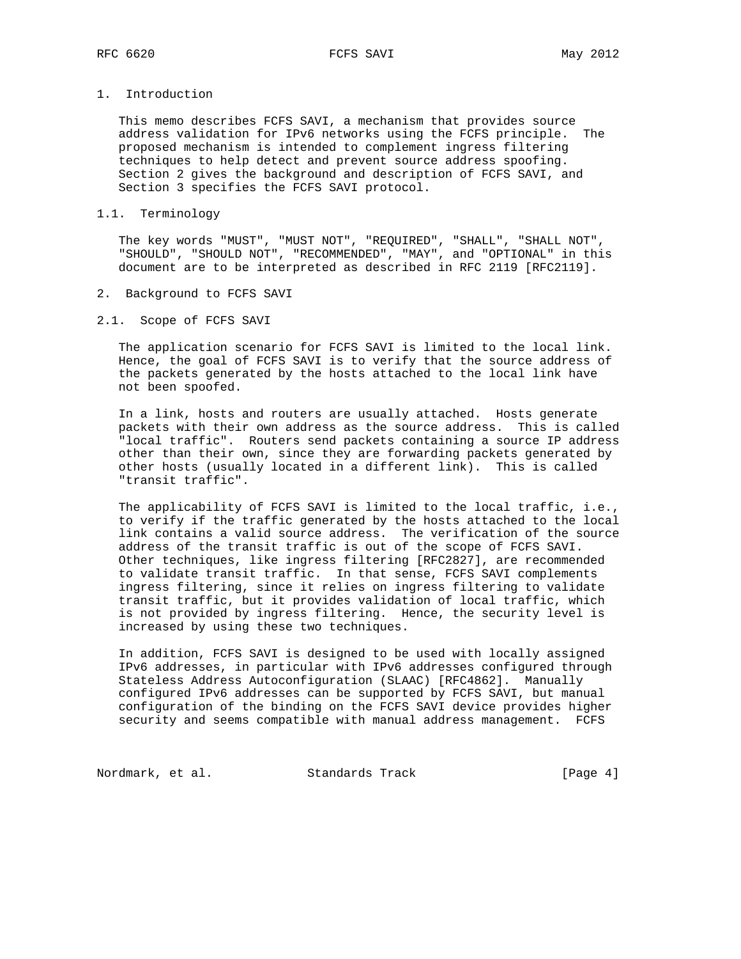# 1. Introduction

 This memo describes FCFS SAVI, a mechanism that provides source address validation for IPv6 networks using the FCFS principle. The proposed mechanism is intended to complement ingress filtering techniques to help detect and prevent source address spoofing. Section 2 gives the background and description of FCFS SAVI, and Section 3 specifies the FCFS SAVI protocol.

### 1.1. Terminology

 The key words "MUST", "MUST NOT", "REQUIRED", "SHALL", "SHALL NOT", "SHOULD", "SHOULD NOT", "RECOMMENDED", "MAY", and "OPTIONAL" in this document are to be interpreted as described in RFC 2119 [RFC2119].

### 2. Background to FCFS SAVI

### 2.1. Scope of FCFS SAVI

 The application scenario for FCFS SAVI is limited to the local link. Hence, the goal of FCFS SAVI is to verify that the source address of the packets generated by the hosts attached to the local link have not been spoofed.

 In a link, hosts and routers are usually attached. Hosts generate packets with their own address as the source address. This is called "local traffic". Routers send packets containing a source IP address other than their own, since they are forwarding packets generated by other hosts (usually located in a different link). This is called "transit traffic".

 The applicability of FCFS SAVI is limited to the local traffic, i.e., to verify if the traffic generated by the hosts attached to the local link contains a valid source address. The verification of the source address of the transit traffic is out of the scope of FCFS SAVI. Other techniques, like ingress filtering [RFC2827], are recommended to validate transit traffic. In that sense, FCFS SAVI complements ingress filtering, since it relies on ingress filtering to validate transit traffic, but it provides validation of local traffic, which is not provided by ingress filtering. Hence, the security level is increased by using these two techniques.

 In addition, FCFS SAVI is designed to be used with locally assigned IPv6 addresses, in particular with IPv6 addresses configured through Stateless Address Autoconfiguration (SLAAC) [RFC4862]. Manually configured IPv6 addresses can be supported by FCFS SAVI, but manual configuration of the binding on the FCFS SAVI device provides higher security and seems compatible with manual address management. FCFS

Nordmark, et al. Standards Track [Page 4]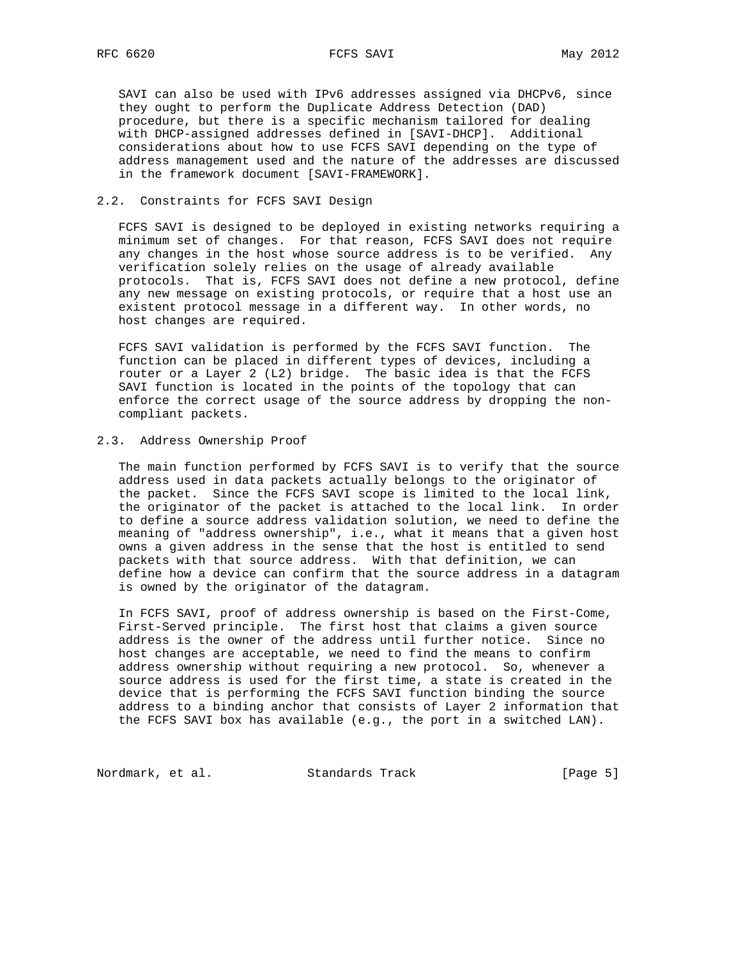### RFC 6620 FCFS SAVI May 2012

 SAVI can also be used with IPv6 addresses assigned via DHCPv6, since they ought to perform the Duplicate Address Detection (DAD) procedure, but there is a specific mechanism tailored for dealing with DHCP-assigned addresses defined in [SAVI-DHCP]. Additional considerations about how to use FCFS SAVI depending on the type of address management used and the nature of the addresses are discussed in the framework document [SAVI-FRAMEWORK].

### 2.2. Constraints for FCFS SAVI Design

 FCFS SAVI is designed to be deployed in existing networks requiring a minimum set of changes. For that reason, FCFS SAVI does not require any changes in the host whose source address is to be verified. Any verification solely relies on the usage of already available protocols. That is, FCFS SAVI does not define a new protocol, define any new message on existing protocols, or require that a host use an existent protocol message in a different way. In other words, no host changes are required.

 FCFS SAVI validation is performed by the FCFS SAVI function. The function can be placed in different types of devices, including a router or a Layer 2 (L2) bridge. The basic idea is that the FCFS SAVI function is located in the points of the topology that can enforce the correct usage of the source address by dropping the non compliant packets.

## 2.3. Address Ownership Proof

 The main function performed by FCFS SAVI is to verify that the source address used in data packets actually belongs to the originator of the packet. Since the FCFS SAVI scope is limited to the local link, the originator of the packet is attached to the local link. In order to define a source address validation solution, we need to define the meaning of "address ownership", i.e., what it means that a given host owns a given address in the sense that the host is entitled to send packets with that source address. With that definition, we can define how a device can confirm that the source address in a datagram is owned by the originator of the datagram.

 In FCFS SAVI, proof of address ownership is based on the First-Come, First-Served principle. The first host that claims a given source address is the owner of the address until further notice. Since no host changes are acceptable, we need to find the means to confirm address ownership without requiring a new protocol. So, whenever a source address is used for the first time, a state is created in the device that is performing the FCFS SAVI function binding the source address to a binding anchor that consists of Layer 2 information that the FCFS SAVI box has available (e.g., the port in a switched LAN).

Nordmark, et al. Standards Track [Page 5]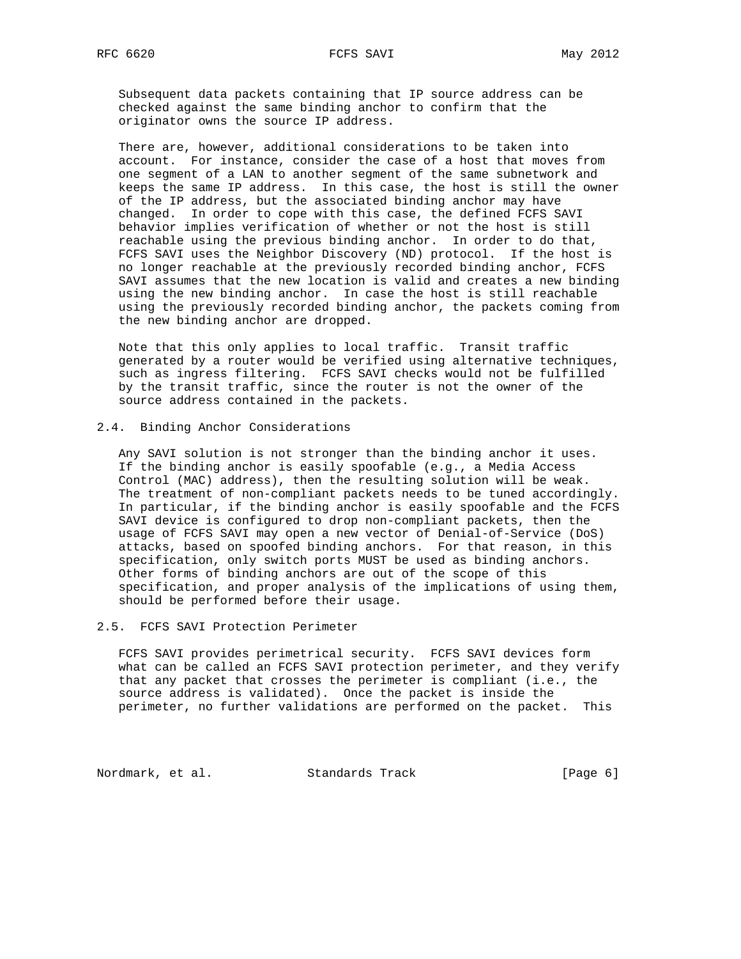Subsequent data packets containing that IP source address can be checked against the same binding anchor to confirm that the originator owns the source IP address.

 There are, however, additional considerations to be taken into account. For instance, consider the case of a host that moves from one segment of a LAN to another segment of the same subnetwork and keeps the same IP address. In this case, the host is still the owner of the IP address, but the associated binding anchor may have changed. In order to cope with this case, the defined FCFS SAVI behavior implies verification of whether or not the host is still reachable using the previous binding anchor. In order to do that, FCFS SAVI uses the Neighbor Discovery (ND) protocol. If the host is no longer reachable at the previously recorded binding anchor, FCFS SAVI assumes that the new location is valid and creates a new binding using the new binding anchor. In case the host is still reachable using the previously recorded binding anchor, the packets coming from the new binding anchor are dropped.

 Note that this only applies to local traffic. Transit traffic generated by a router would be verified using alternative techniques, such as ingress filtering. FCFS SAVI checks would not be fulfilled by the transit traffic, since the router is not the owner of the source address contained in the packets.

### 2.4. Binding Anchor Considerations

 Any SAVI solution is not stronger than the binding anchor it uses. If the binding anchor is easily spoofable (e.g., a Media Access Control (MAC) address), then the resulting solution will be weak. The treatment of non-compliant packets needs to be tuned accordingly. In particular, if the binding anchor is easily spoofable and the FCFS SAVI device is configured to drop non-compliant packets, then the usage of FCFS SAVI may open a new vector of Denial-of-Service (DoS) attacks, based on spoofed binding anchors. For that reason, in this specification, only switch ports MUST be used as binding anchors. Other forms of binding anchors are out of the scope of this specification, and proper analysis of the implications of using them, should be performed before their usage.

#### 2.5. FCFS SAVI Protection Perimeter

 FCFS SAVI provides perimetrical security. FCFS SAVI devices form what can be called an FCFS SAVI protection perimeter, and they verify that any packet that crosses the perimeter is compliant (i.e., the source address is validated). Once the packet is inside the perimeter, no further validations are performed on the packet. This

Nordmark, et al. Standards Track [Page 6]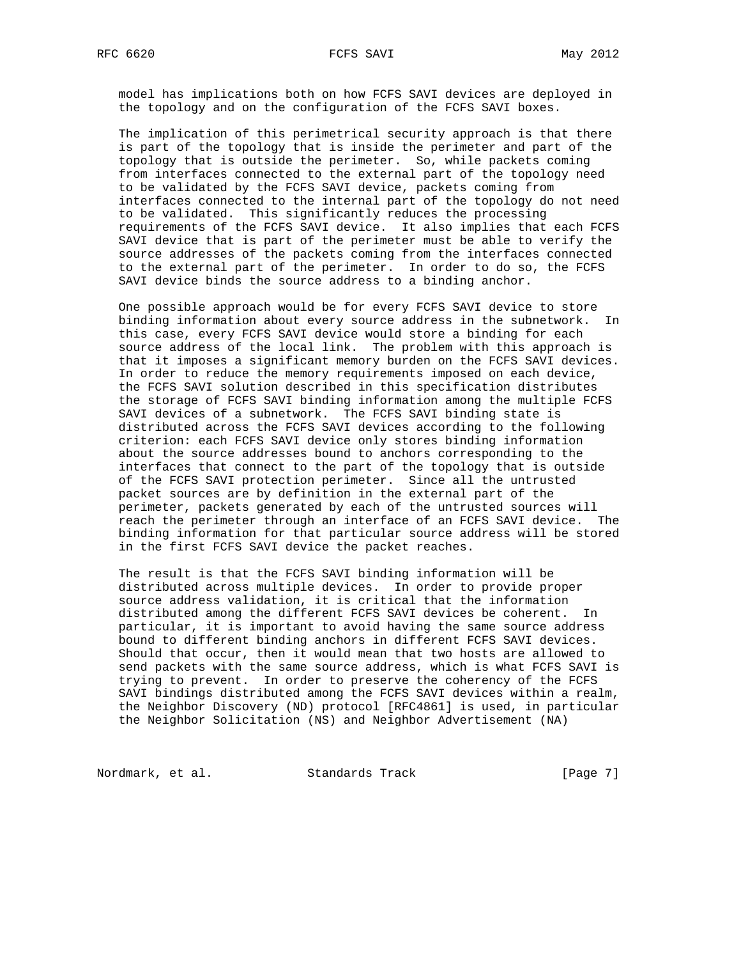model has implications both on how FCFS SAVI devices are deployed in the topology and on the configuration of the FCFS SAVI boxes.

 The implication of this perimetrical security approach is that there is part of the topology that is inside the perimeter and part of the topology that is outside the perimeter. So, while packets coming from interfaces connected to the external part of the topology need to be validated by the FCFS SAVI device, packets coming from interfaces connected to the internal part of the topology do not need to be validated. This significantly reduces the processing requirements of the FCFS SAVI device. It also implies that each FCFS SAVI device that is part of the perimeter must be able to verify the source addresses of the packets coming from the interfaces connected to the external part of the perimeter. In order to do so, the FCFS SAVI device binds the source address to a binding anchor.

 One possible approach would be for every FCFS SAVI device to store binding information about every source address in the subnetwork. In this case, every FCFS SAVI device would store a binding for each source address of the local link. The problem with this approach is that it imposes a significant memory burden on the FCFS SAVI devices. In order to reduce the memory requirements imposed on each device, the FCFS SAVI solution described in this specification distributes the storage of FCFS SAVI binding information among the multiple FCFS SAVI devices of a subnetwork. The FCFS SAVI binding state is distributed across the FCFS SAVI devices according to the following criterion: each FCFS SAVI device only stores binding information about the source addresses bound to anchors corresponding to the interfaces that connect to the part of the topology that is outside of the FCFS SAVI protection perimeter. Since all the untrusted packet sources are by definition in the external part of the perimeter, packets generated by each of the untrusted sources will reach the perimeter through an interface of an FCFS SAVI device. The binding information for that particular source address will be stored in the first FCFS SAVI device the packet reaches.

 The result is that the FCFS SAVI binding information will be distributed across multiple devices. In order to provide proper source address validation, it is critical that the information distributed among the different FCFS SAVI devices be coherent. In particular, it is important to avoid having the same source address bound to different binding anchors in different FCFS SAVI devices. Should that occur, then it would mean that two hosts are allowed to send packets with the same source address, which is what FCFS SAVI is trying to prevent. In order to preserve the coherency of the FCFS SAVI bindings distributed among the FCFS SAVI devices within a realm, the Neighbor Discovery (ND) protocol [RFC4861] is used, in particular the Neighbor Solicitation (NS) and Neighbor Advertisement (NA)

Nordmark, et al. Standards Track [Page 7]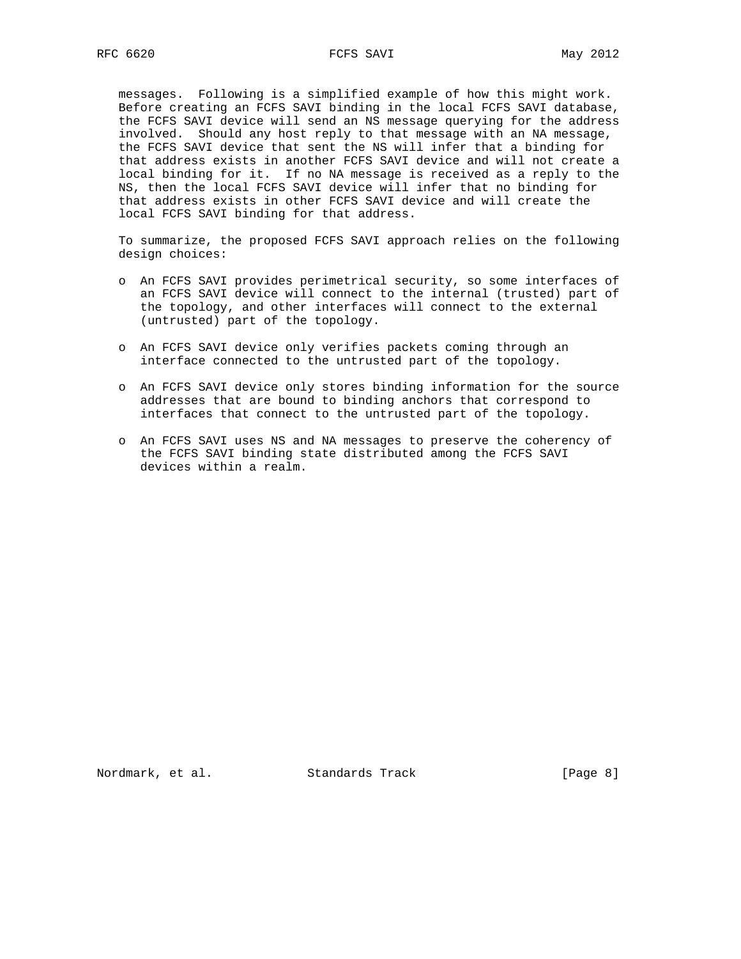messages. Following is a simplified example of how this might work. Before creating an FCFS SAVI binding in the local FCFS SAVI database, the FCFS SAVI device will send an NS message querying for the address involved. Should any host reply to that message with an NA message, the FCFS SAVI device that sent the NS will infer that a binding for that address exists in another FCFS SAVI device and will not create a local binding for it. If no NA message is received as a reply to the NS, then the local FCFS SAVI device will infer that no binding for that address exists in other FCFS SAVI device and will create the local FCFS SAVI binding for that address.

 To summarize, the proposed FCFS SAVI approach relies on the following design choices:

- o An FCFS SAVI provides perimetrical security, so some interfaces of an FCFS SAVI device will connect to the internal (trusted) part of the topology, and other interfaces will connect to the external (untrusted) part of the topology.
- o An FCFS SAVI device only verifies packets coming through an interface connected to the untrusted part of the topology.
- o An FCFS SAVI device only stores binding information for the source addresses that are bound to binding anchors that correspond to interfaces that connect to the untrusted part of the topology.
- o An FCFS SAVI uses NS and NA messages to preserve the coherency of the FCFS SAVI binding state distributed among the FCFS SAVI devices within a realm.

Nordmark, et al. Standards Track [Page 8]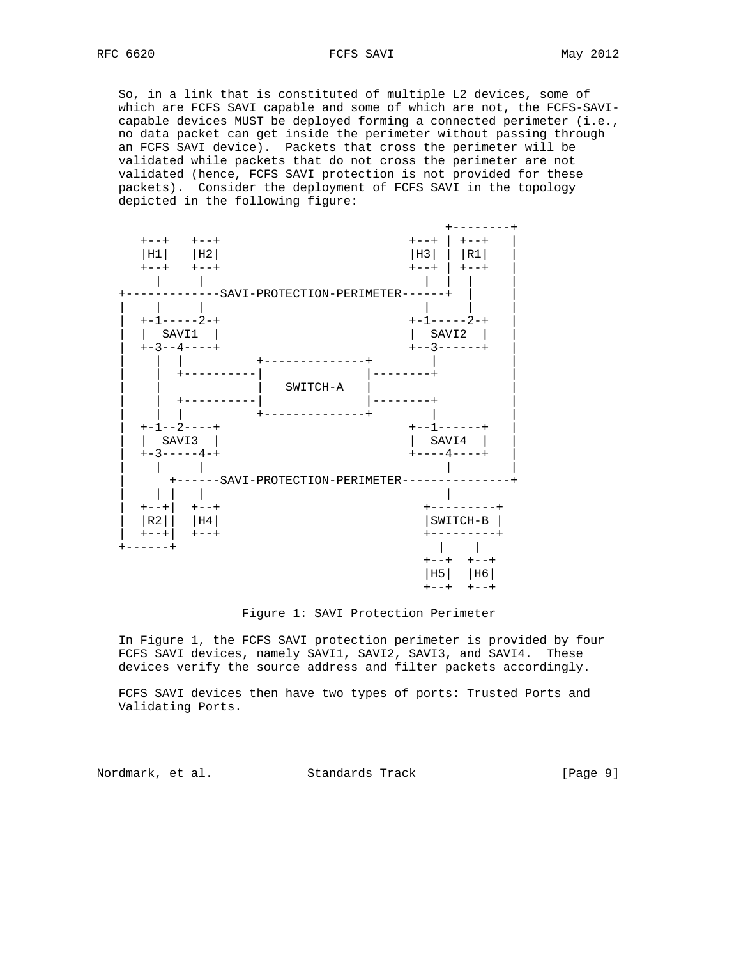RFC 6620 FCFS SAVI May 2012

 So, in a link that is constituted of multiple L2 devices, some of which are FCFS SAVI capable and some of which are not, the FCFS-SAVI capable devices MUST be deployed forming a connected perimeter (i.e., no data packet can get inside the perimeter without passing through an FCFS SAVI device). Packets that cross the perimeter will be validated while packets that do not cross the perimeter are not validated (hence, FCFS SAVI protection is not provided for these packets). Consider the deployment of FCFS SAVI in the topology depicted in the following figure:



#### Figure 1: SAVI Protection Perimeter

 In Figure 1, the FCFS SAVI protection perimeter is provided by four FCFS SAVI devices, namely SAVI1, SAVI2, SAVI3, and SAVI4. These devices verify the source address and filter packets accordingly.

 FCFS SAVI devices then have two types of ports: Trusted Ports and Validating Ports.

Nordmark, et al. Standards Track [Page 9]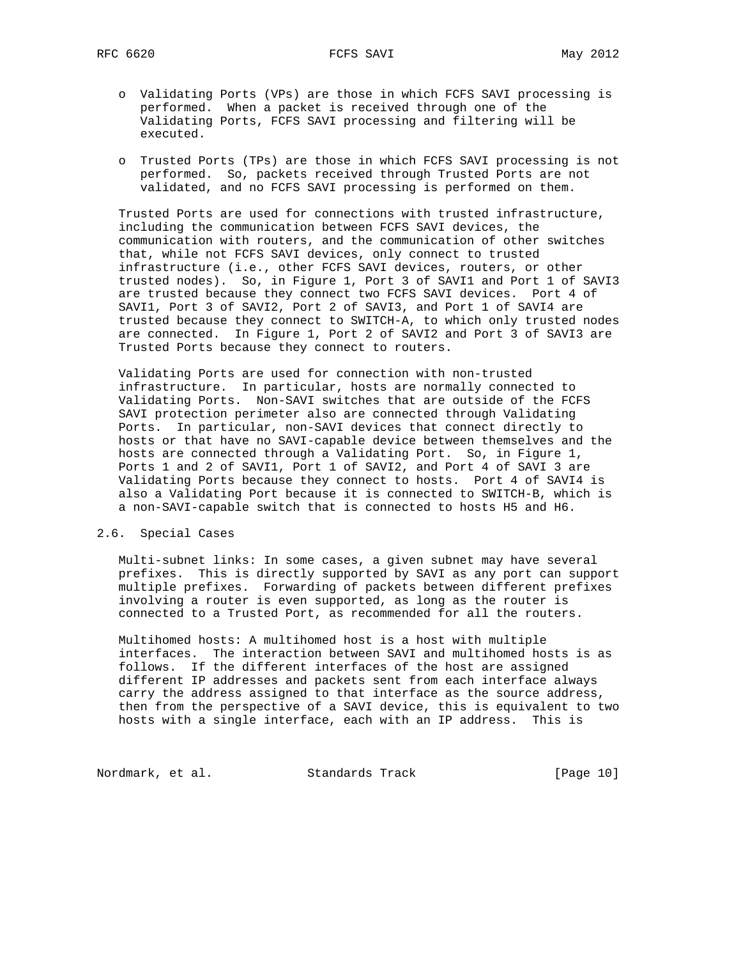RFC 6620 FCFS SAVI May 2012

- o Validating Ports (VPs) are those in which FCFS SAVI processing is performed. When a packet is received through one of the Validating Ports, FCFS SAVI processing and filtering will be executed.
- o Trusted Ports (TPs) are those in which FCFS SAVI processing is not performed. So, packets received through Trusted Ports are not validated, and no FCFS SAVI processing is performed on them.

 Trusted Ports are used for connections with trusted infrastructure, including the communication between FCFS SAVI devices, the communication with routers, and the communication of other switches that, while not FCFS SAVI devices, only connect to trusted infrastructure (i.e., other FCFS SAVI devices, routers, or other trusted nodes). So, in Figure 1, Port 3 of SAVI1 and Port 1 of SAVI3 are trusted because they connect two FCFS SAVI devices. Port 4 of SAVI1, Port 3 of SAVI2, Port 2 of SAVI3, and Port 1 of SAVI4 are trusted because they connect to SWITCH-A, to which only trusted nodes are connected. In Figure 1, Port 2 of SAVI2 and Port 3 of SAVI3 are Trusted Ports because they connect to routers.

 Validating Ports are used for connection with non-trusted infrastructure. In particular, hosts are normally connected to Validating Ports. Non-SAVI switches that are outside of the FCFS SAVI protection perimeter also are connected through Validating Ports. In particular, non-SAVI devices that connect directly to hosts or that have no SAVI-capable device between themselves and the hosts are connected through a Validating Port. So, in Figure 1, Ports 1 and 2 of SAVI1, Port 1 of SAVI2, and Port 4 of SAVI 3 are Validating Ports because they connect to hosts. Port 4 of SAVI4 is also a Validating Port because it is connected to SWITCH-B, which is a non-SAVI-capable switch that is connected to hosts H5 and H6.

### 2.6. Special Cases

 Multi-subnet links: In some cases, a given subnet may have several prefixes. This is directly supported by SAVI as any port can support multiple prefixes. Forwarding of packets between different prefixes involving a router is even supported, as long as the router is connected to a Trusted Port, as recommended for all the routers.

 Multihomed hosts: A multihomed host is a host with multiple interfaces. The interaction between SAVI and multihomed hosts is as follows. If the different interfaces of the host are assigned different IP addresses and packets sent from each interface always carry the address assigned to that interface as the source address, then from the perspective of a SAVI device, this is equivalent to two hosts with a single interface, each with an IP address. This is

Nordmark, et al. Standards Track [Page 10]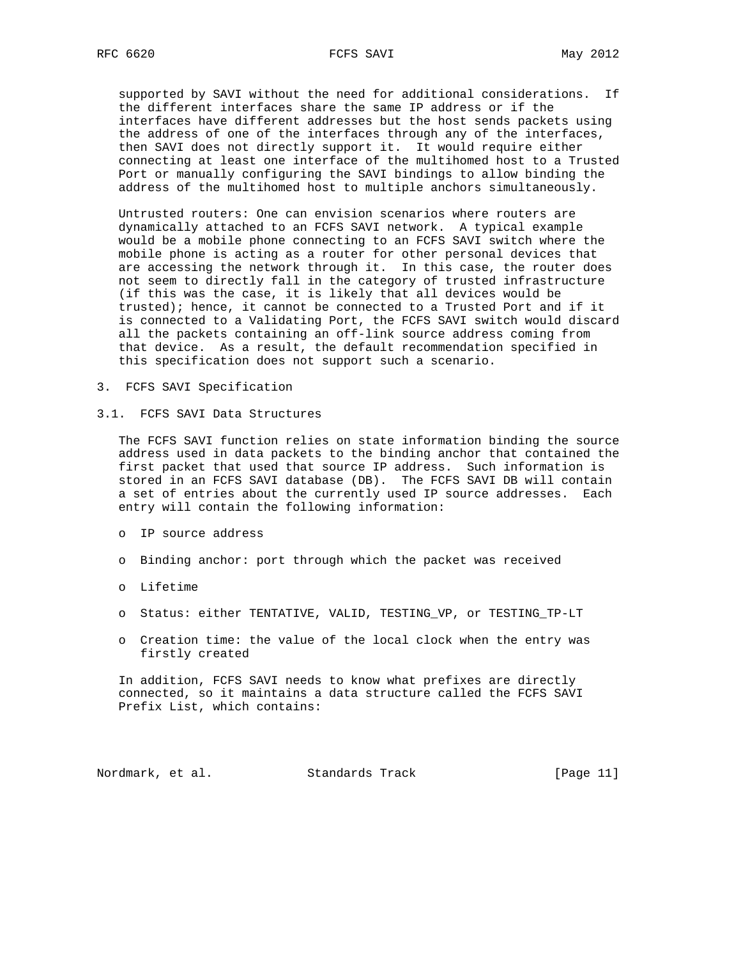supported by SAVI without the need for additional considerations. If the different interfaces share the same IP address or if the interfaces have different addresses but the host sends packets using the address of one of the interfaces through any of the interfaces, then SAVI does not directly support it. It would require either connecting at least one interface of the multihomed host to a Trusted Port or manually configuring the SAVI bindings to allow binding the address of the multihomed host to multiple anchors simultaneously.

 Untrusted routers: One can envision scenarios where routers are dynamically attached to an FCFS SAVI network. A typical example would be a mobile phone connecting to an FCFS SAVI switch where the mobile phone is acting as a router for other personal devices that are accessing the network through it. In this case, the router does not seem to directly fall in the category of trusted infrastructure (if this was the case, it is likely that all devices would be trusted); hence, it cannot be connected to a Trusted Port and if it is connected to a Validating Port, the FCFS SAVI switch would discard all the packets containing an off-link source address coming from that device. As a result, the default recommendation specified in this specification does not support such a scenario.

- 3. FCFS SAVI Specification
- 3.1. FCFS SAVI Data Structures

 The FCFS SAVI function relies on state information binding the source address used in data packets to the binding anchor that contained the first packet that used that source IP address. Such information is stored in an FCFS SAVI database (DB). The FCFS SAVI DB will contain a set of entries about the currently used IP source addresses. Each entry will contain the following information:

- o IP source address
- o Binding anchor: port through which the packet was received
- o Lifetime
- o Status: either TENTATIVE, VALID, TESTING\_VP, or TESTING\_TP-LT
- o Creation time: the value of the local clock when the entry was firstly created

 In addition, FCFS SAVI needs to know what prefixes are directly connected, so it maintains a data structure called the FCFS SAVI Prefix List, which contains:

Nordmark, et al. Standards Track [Page 11]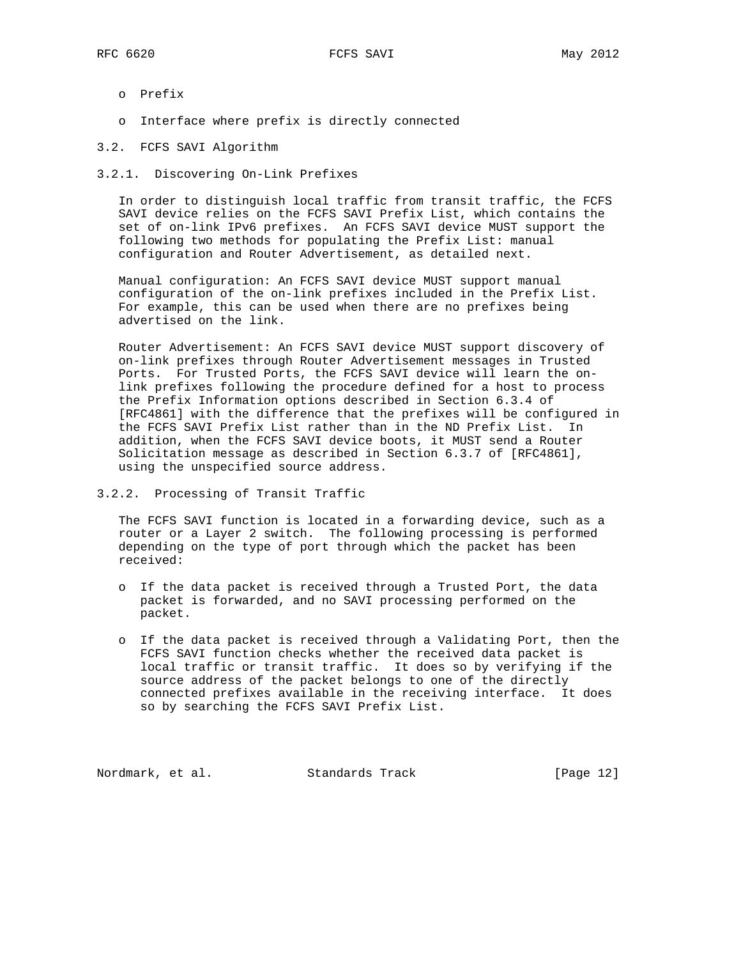- o Prefix
- o Interface where prefix is directly connected
- 3.2. FCFS SAVI Algorithm
- 3.2.1. Discovering On-Link Prefixes

 In order to distinguish local traffic from transit traffic, the FCFS SAVI device relies on the FCFS SAVI Prefix List, which contains the set of on-link IPv6 prefixes. An FCFS SAVI device MUST support the following two methods for populating the Prefix List: manual configuration and Router Advertisement, as detailed next.

 Manual configuration: An FCFS SAVI device MUST support manual configuration of the on-link prefixes included in the Prefix List. For example, this can be used when there are no prefixes being advertised on the link.

 Router Advertisement: An FCFS SAVI device MUST support discovery of on-link prefixes through Router Advertisement messages in Trusted Ports. For Trusted Ports, the FCFS SAVI device will learn the on link prefixes following the procedure defined for a host to process the Prefix Information options described in Section 6.3.4 of [RFC4861] with the difference that the prefixes will be configured in the FCFS SAVI Prefix List rather than in the ND Prefix List. In addition, when the FCFS SAVI device boots, it MUST send a Router Solicitation message as described in Section 6.3.7 of [RFC4861], using the unspecified source address.

3.2.2. Processing of Transit Traffic

 The FCFS SAVI function is located in a forwarding device, such as a router or a Layer 2 switch. The following processing is performed depending on the type of port through which the packet has been received:

- o If the data packet is received through a Trusted Port, the data packet is forwarded, and no SAVI processing performed on the packet.
- o If the data packet is received through a Validating Port, then the FCFS SAVI function checks whether the received data packet is local traffic or transit traffic. It does so by verifying if the source address of the packet belongs to one of the directly connected prefixes available in the receiving interface. It does so by searching the FCFS SAVI Prefix List.

Nordmark, et al. Standards Track [Page 12]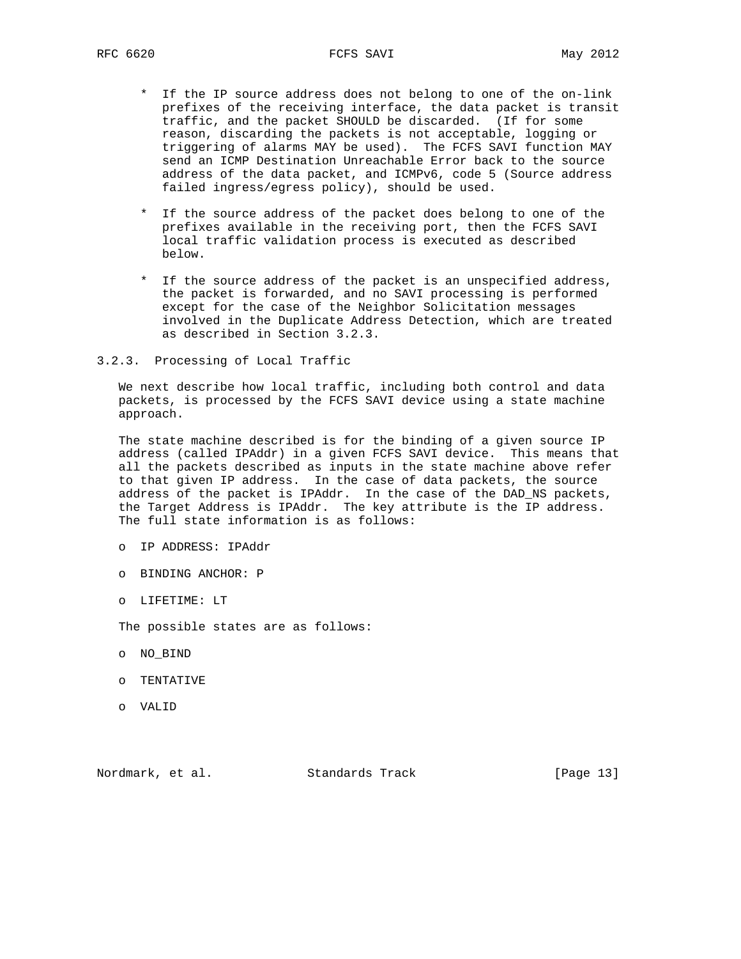- \* If the IP source address does not belong to one of the on-link prefixes of the receiving interface, the data packet is transit traffic, and the packet SHOULD be discarded. (If for some reason, discarding the packets is not acceptable, logging or triggering of alarms MAY be used). The FCFS SAVI function MAY send an ICMP Destination Unreachable Error back to the source address of the data packet, and ICMPv6, code 5 (Source address failed ingress/egress policy), should be used.
- \* If the source address of the packet does belong to one of the prefixes available in the receiving port, then the FCFS SAVI local traffic validation process is executed as described below.
- \* If the source address of the packet is an unspecified address, the packet is forwarded, and no SAVI processing is performed except for the case of the Neighbor Solicitation messages involved in the Duplicate Address Detection, which are treated as described in Section 3.2.3.
- 3.2.3. Processing of Local Traffic

 We next describe how local traffic, including both control and data packets, is processed by the FCFS SAVI device using a state machine approach.

 The state machine described is for the binding of a given source IP address (called IPAddr) in a given FCFS SAVI device. This means that all the packets described as inputs in the state machine above refer to that given IP address. In the case of data packets, the source address of the packet is IPAddr. In the case of the DAD\_NS packets, the Target Address is IPAddr. The key attribute is the IP address. The full state information is as follows:

- o IP ADDRESS: IPAddr
- o BINDING ANCHOR: P
- o LIFETIME: LT

The possible states are as follows:

- o NO\_BIND
- o TENTATIVE
- o VALID

Nordmark, et al. Standards Track [Page 13]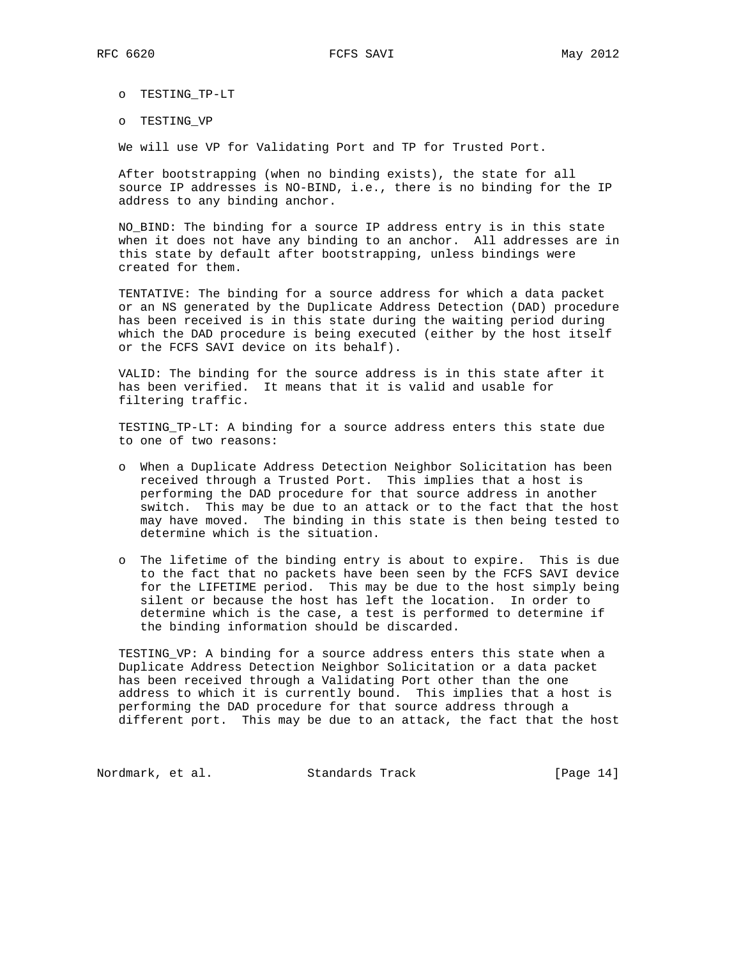o TESTING\_TP-LT

o TESTING\_VP

We will use VP for Validating Port and TP for Trusted Port.

 After bootstrapping (when no binding exists), the state for all source IP addresses is NO-BIND, i.e., there is no binding for the IP address to any binding anchor.

 NO\_BIND: The binding for a source IP address entry is in this state when it does not have any binding to an anchor. All addresses are in this state by default after bootstrapping, unless bindings were created for them.

 TENTATIVE: The binding for a source address for which a data packet or an NS generated by the Duplicate Address Detection (DAD) procedure has been received is in this state during the waiting period during which the DAD procedure is being executed (either by the host itself or the FCFS SAVI device on its behalf).

 VALID: The binding for the source address is in this state after it has been verified. It means that it is valid and usable for filtering traffic.

 TESTING\_TP-LT: A binding for a source address enters this state due to one of two reasons:

- o When a Duplicate Address Detection Neighbor Solicitation has been received through a Trusted Port. This implies that a host is performing the DAD procedure for that source address in another switch. This may be due to an attack or to the fact that the host may have moved. The binding in this state is then being tested to determine which is the situation.
- o The lifetime of the binding entry is about to expire. This is due to the fact that no packets have been seen by the FCFS SAVI device for the LIFETIME period. This may be due to the host simply being silent or because the host has left the location. In order to determine which is the case, a test is performed to determine if the binding information should be discarded.

 TESTING\_VP: A binding for a source address enters this state when a Duplicate Address Detection Neighbor Solicitation or a data packet has been received through a Validating Port other than the one address to which it is currently bound. This implies that a host is performing the DAD procedure for that source address through a different port. This may be due to an attack, the fact that the host

Nordmark, et al. Standards Track [Page 14]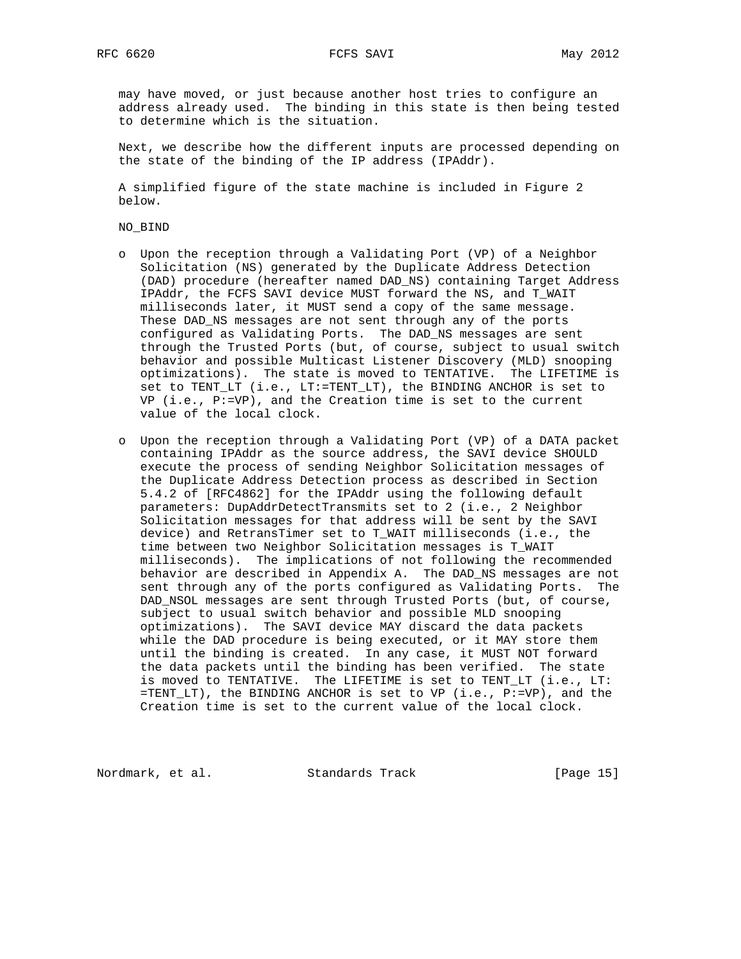may have moved, or just because another host tries to configure an address already used. The binding in this state is then being tested to determine which is the situation.

 Next, we describe how the different inputs are processed depending on the state of the binding of the IP address (IPAddr).

 A simplified figure of the state machine is included in Figure 2 below.

### NO\_BIND

- o Upon the reception through a Validating Port (VP) of a Neighbor Solicitation (NS) generated by the Duplicate Address Detection (DAD) procedure (hereafter named DAD\_NS) containing Target Address IPAddr, the FCFS SAVI device MUST forward the NS, and T\_WAIT milliseconds later, it MUST send a copy of the same message. These DAD\_NS messages are not sent through any of the ports configured as Validating Ports. The DAD\_NS messages are sent through the Trusted Ports (but, of course, subject to usual switch behavior and possible Multicast Listener Discovery (MLD) snooping optimizations). The state is moved to TENTATIVE. The LIFETIME is set to TENT\_LT (i.e., LT:=TENT\_LT), the BINDING ANCHOR is set to VP (i.e., P:=VP), and the Creation time is set to the current value of the local clock.
- o Upon the reception through a Validating Port (VP) of a DATA packet containing IPAddr as the source address, the SAVI device SHOULD execute the process of sending Neighbor Solicitation messages of the Duplicate Address Detection process as described in Section 5.4.2 of [RFC4862] for the IPAddr using the following default parameters: DupAddrDetectTransmits set to 2 (i.e., 2 Neighbor Solicitation messages for that address will be sent by the SAVI device) and RetransTimer set to T\_WAIT milliseconds (i.e., the time between two Neighbor Solicitation messages is T\_WAIT milliseconds). The implications of not following the recommended behavior are described in Appendix A. The DAD\_NS messages are not sent through any of the ports configured as Validating Ports. The DAD\_NSOL messages are sent through Trusted Ports (but, of course, subject to usual switch behavior and possible MLD snooping optimizations). The SAVI device MAY discard the data packets while the DAD procedure is being executed, or it MAY store them until the binding is created. In any case, it MUST NOT forward the data packets until the binding has been verified. The state is moved to TENTATIVE. The LIFETIME is set to TENT\_LT (i.e., LT: =TENT\_LT), the BINDING ANCHOR is set to VP (i.e., P:=VP), and the Creation time is set to the current value of the local clock.

Nordmark, et al. Standards Track [Page 15]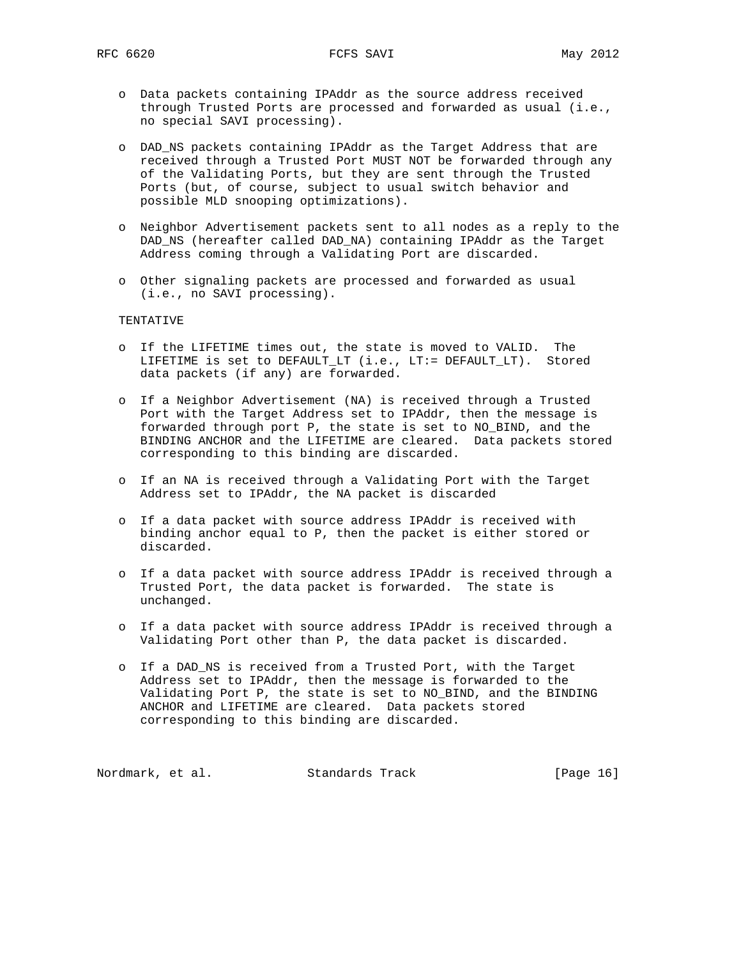- o Data packets containing IPAddr as the source address received through Trusted Ports are processed and forwarded as usual (i.e., no special SAVI processing).
- o DAD\_NS packets containing IPAddr as the Target Address that are received through a Trusted Port MUST NOT be forwarded through any of the Validating Ports, but they are sent through the Trusted Ports (but, of course, subject to usual switch behavior and possible MLD snooping optimizations).
- o Neighbor Advertisement packets sent to all nodes as a reply to the DAD\_NS (hereafter called DAD\_NA) containing IPAddr as the Target Address coming through a Validating Port are discarded.
- o Other signaling packets are processed and forwarded as usual (i.e., no SAVI processing).

# TENTATIVE

- o If the LIFETIME times out, the state is moved to VALID. The LIFETIME is set to DEFAULT\_LT (i.e., LT:= DEFAULT\_LT). Stored data packets (if any) are forwarded.
- o If a Neighbor Advertisement (NA) is received through a Trusted Port with the Target Address set to IPAddr, then the message is forwarded through port P, the state is set to NO\_BIND, and the BINDING ANCHOR and the LIFETIME are cleared. Data packets stored corresponding to this binding are discarded.
- o If an NA is received through a Validating Port with the Target Address set to IPAddr, the NA packet is discarded
- o If a data packet with source address IPAddr is received with binding anchor equal to P, then the packet is either stored or discarded.
- o If a data packet with source address IPAddr is received through a Trusted Port, the data packet is forwarded. The state is unchanged.
- o If a data packet with source address IPAddr is received through a Validating Port other than P, the data packet is discarded.
- o If a DAD\_NS is received from a Trusted Port, with the Target Address set to IPAddr, then the message is forwarded to the Validating Port P, the state is set to NO\_BIND, and the BINDING ANCHOR and LIFETIME are cleared. Data packets stored corresponding to this binding are discarded.

Nordmark, et al. Standards Track [Page 16]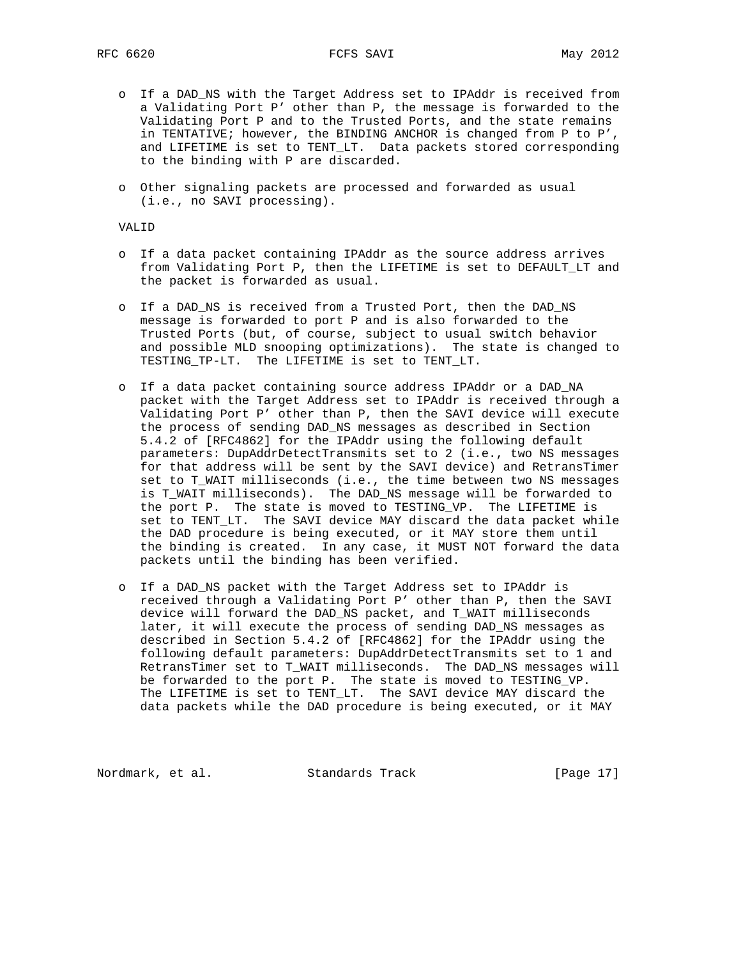- o If a DAD\_NS with the Target Address set to IPAddr is received from a Validating Port P' other than P, the message is forwarded to the Validating Port P and to the Trusted Ports, and the state remains in TENTATIVE; however, the BINDING ANCHOR is changed from P to P', and LIFETIME is set to TENT\_LT. Data packets stored corresponding to the binding with P are discarded.
- o Other signaling packets are processed and forwarded as usual (i.e., no SAVI processing).

VALID

- o If a data packet containing IPAddr as the source address arrives from Validating Port P, then the LIFETIME is set to DEFAULT\_LT and the packet is forwarded as usual.
- o If a DAD\_NS is received from a Trusted Port, then the DAD\_NS message is forwarded to port P and is also forwarded to the Trusted Ports (but, of course, subject to usual switch behavior and possible MLD snooping optimizations). The state is changed to TESTING\_TP-LT. The LIFETIME is set to TENT\_LT.
- o If a data packet containing source address IPAddr or a DAD\_NA packet with the Target Address set to IPAddr is received through a Validating Port P' other than P, then the SAVI device will execute the process of sending DAD\_NS messages as described in Section 5.4.2 of [RFC4862] for the IPAddr using the following default parameters: DupAddrDetectTransmits set to 2 (i.e., two NS messages for that address will be sent by the SAVI device) and RetransTimer set to T\_WAIT milliseconds (i.e., the time between two NS messages is T\_WAIT milliseconds). The DAD\_NS message will be forwarded to the port P. The state is moved to TESTING\_VP. The LIFETIME is set to TENT\_LT. The SAVI device MAY discard the data packet while the DAD procedure is being executed, or it MAY store them until the binding is created. In any case, it MUST NOT forward the data packets until the binding has been verified.
- o If a DAD\_NS packet with the Target Address set to IPAddr is received through a Validating Port P' other than P, then the SAVI device will forward the DAD\_NS packet, and T\_WAIT milliseconds later, it will execute the process of sending DAD\_NS messages as described in Section 5.4.2 of [RFC4862] for the IPAddr using the following default parameters: DupAddrDetectTransmits set to 1 and RetransTimer set to T\_WAIT milliseconds. The DAD\_NS messages will be forwarded to the port P. The state is moved to TESTING\_VP. The LIFETIME is set to TENT LT. The SAVI device MAY discard the data packets while the DAD procedure is being executed, or it MAY

Nordmark, et al. Standards Track [Page 17]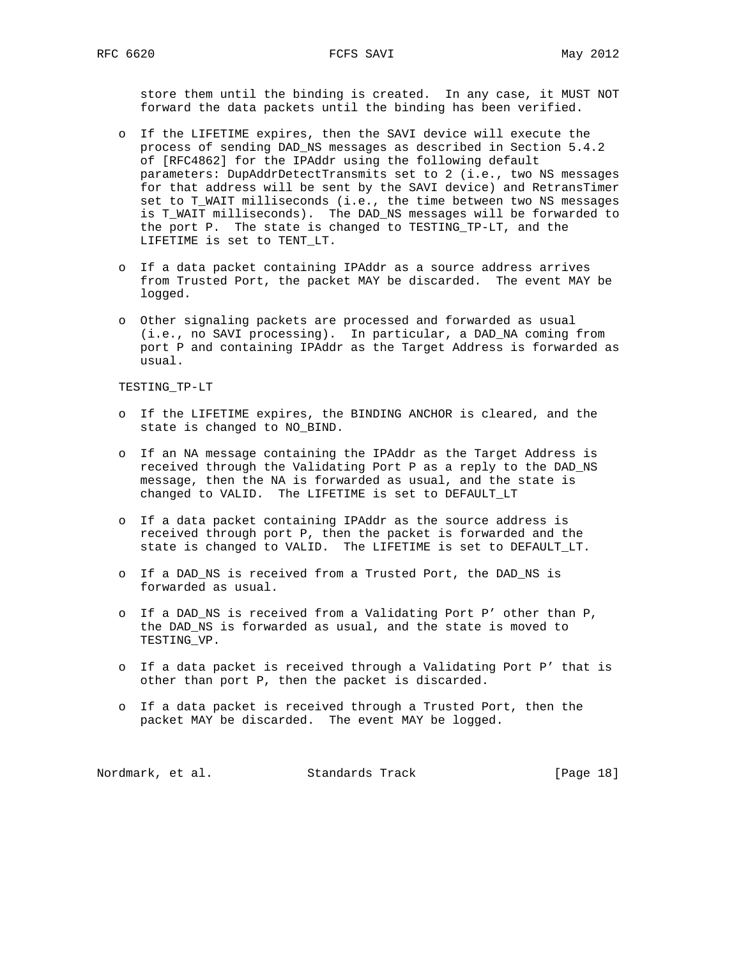store them until the binding is created. In any case, it MUST NOT forward the data packets until the binding has been verified.

- o If the LIFETIME expires, then the SAVI device will execute the process of sending DAD\_NS messages as described in Section 5.4.2 of [RFC4862] for the IPAddr using the following default parameters: DupAddrDetectTransmits set to 2 (i.e., two NS messages for that address will be sent by the SAVI device) and RetransTimer set to T\_WAIT milliseconds (i.e., the time between two NS messages is T\_WAIT milliseconds). The DAD\_NS messages will be forwarded to the port P. The state is changed to TESTING\_TP-LT, and the LIFETIME is set to TENT\_LT.
- o If a data packet containing IPAddr as a source address arrives from Trusted Port, the packet MAY be discarded. The event MAY be logged.
- o Other signaling packets are processed and forwarded as usual (i.e., no SAVI processing). In particular, a DAD\_NA coming from port P and containing IPAddr as the Target Address is forwarded as usual.

TESTING\_TP-LT

- o If the LIFETIME expires, the BINDING ANCHOR is cleared, and the state is changed to NO\_BIND.
- o If an NA message containing the IPAddr as the Target Address is received through the Validating Port P as a reply to the DAD\_NS message, then the NA is forwarded as usual, and the state is changed to VALID. The LIFETIME is set to DEFAULT\_LT
- o If a data packet containing IPAddr as the source address is received through port P, then the packet is forwarded and the state is changed to VALID. The LIFETIME is set to DEFAULT\_LT.
- o If a DAD\_NS is received from a Trusted Port, the DAD\_NS is forwarded as usual.
- o If a DAD\_NS is received from a Validating Port P' other than P, the DAD\_NS is forwarded as usual, and the state is moved to TESTING\_VP.
- o If a data packet is received through a Validating Port P' that is other than port P, then the packet is discarded.
- o If a data packet is received through a Trusted Port, then the packet MAY be discarded. The event MAY be logged.

Nordmark, et al. Standards Track [Page 18]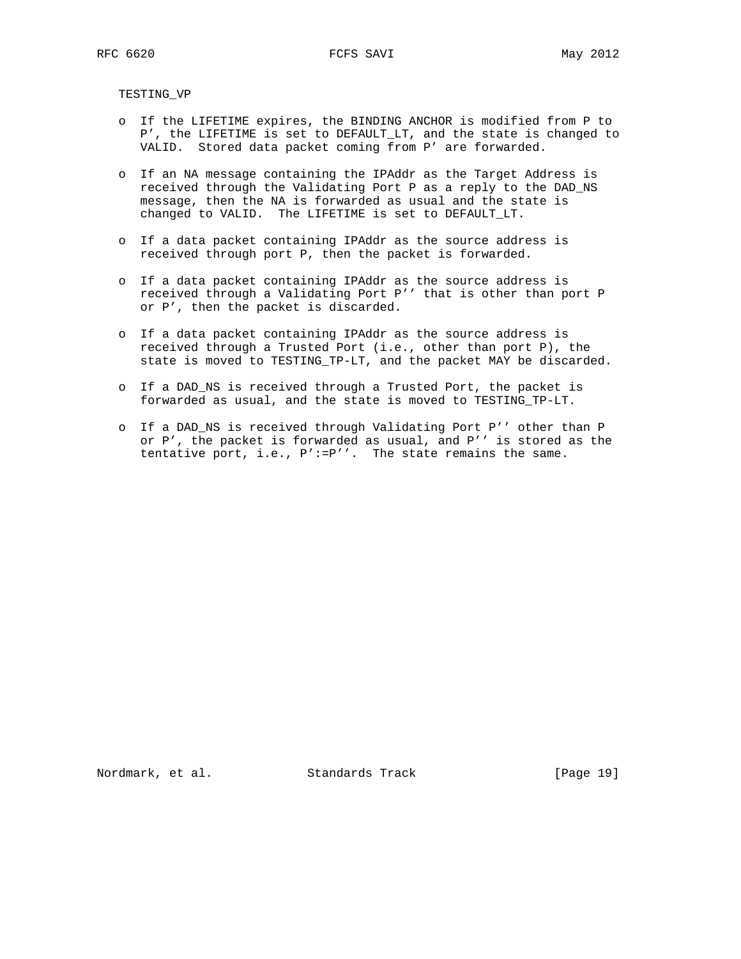TESTING\_VP

- o If the LIFETIME expires, the BINDING ANCHOR is modified from P to P', the LIFETIME is set to DEFAULT\_LT, and the state is changed to VALID. Stored data packet coming from P' are forwarded.
- o If an NA message containing the IPAddr as the Target Address is received through the Validating Port P as a reply to the DAD\_NS message, then the NA is forwarded as usual and the state is changed to VALID. The LIFETIME is set to DEFAULT\_LT.
- o If a data packet containing IPAddr as the source address is received through port P, then the packet is forwarded.
- o If a data packet containing IPAddr as the source address is received through a Validating Port P'' that is other than port P or P', then the packet is discarded.
- o If a data packet containing IPAddr as the source address is received through a Trusted Port (i.e., other than port P), the state is moved to TESTING\_TP-LT, and the packet MAY be discarded.
- o If a DAD\_NS is received through a Trusted Port, the packet is forwarded as usual, and the state is moved to TESTING\_TP-LT.
- o If a DAD\_NS is received through Validating Port P'' other than P or P', the packet is forwarded as usual, and P'' is stored as the tentative port, i.e., P':=P''. The state remains the same.

Nordmark, et al. Standards Track [Page 19]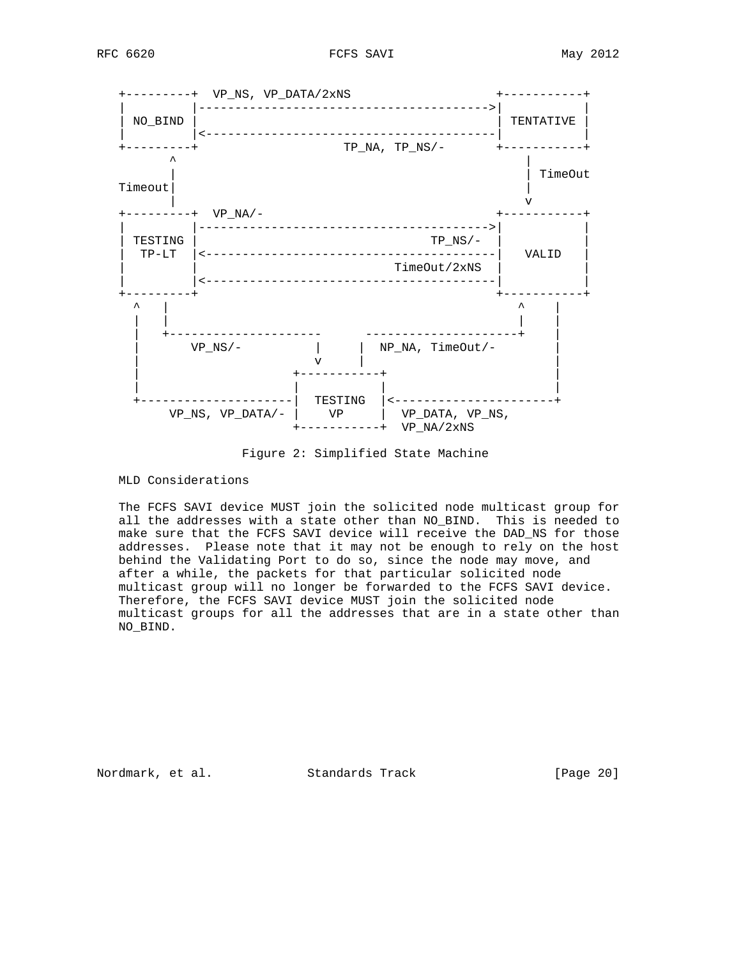

Figure 2: Simplified State Machine

MLD Considerations

 The FCFS SAVI device MUST join the solicited node multicast group for all the addresses with a state other than NO\_BIND. This is needed to make sure that the FCFS SAVI device will receive the DAD\_NS for those addresses. Please note that it may not be enough to rely on the host behind the Validating Port to do so, since the node may move, and after a while, the packets for that particular solicited node multicast group will no longer be forwarded to the FCFS SAVI device. Therefore, the FCFS SAVI device MUST join the solicited node multicast groups for all the addresses that are in a state other than NO\_BIND.

Nordmark, et al. Standards Track [Page 20]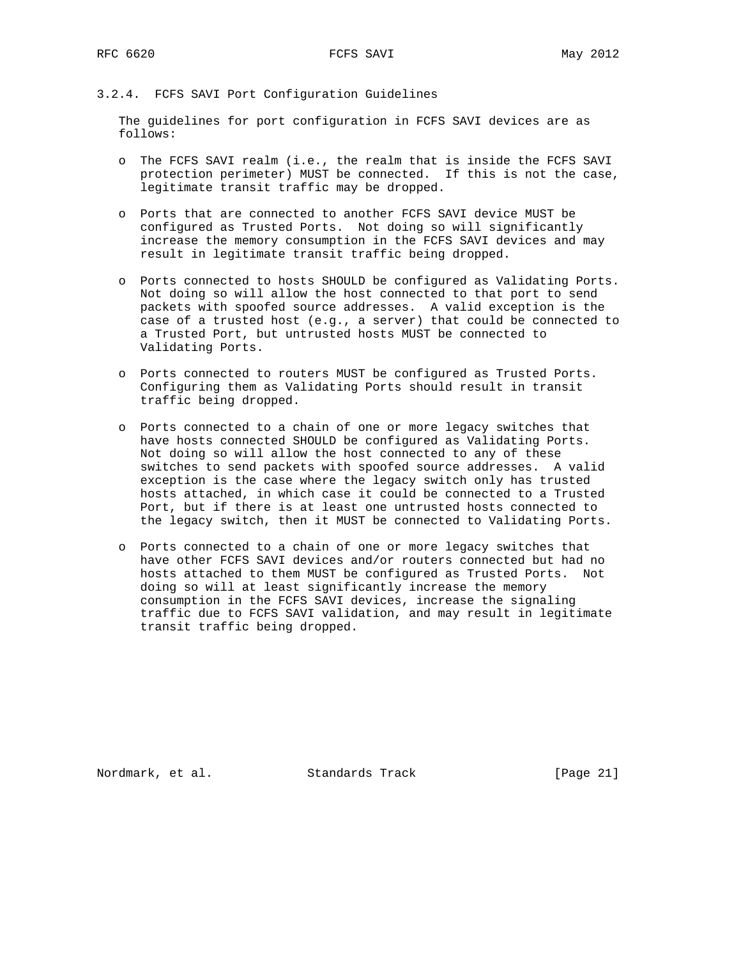### 3.2.4. FCFS SAVI Port Configuration Guidelines

 The guidelines for port configuration in FCFS SAVI devices are as follows:

- o The FCFS SAVI realm (i.e., the realm that is inside the FCFS SAVI protection perimeter) MUST be connected. If this is not the case, legitimate transit traffic may be dropped.
- o Ports that are connected to another FCFS SAVI device MUST be configured as Trusted Ports. Not doing so will significantly increase the memory consumption in the FCFS SAVI devices and may result in legitimate transit traffic being dropped.
- o Ports connected to hosts SHOULD be configured as Validating Ports. Not doing so will allow the host connected to that port to send packets with spoofed source addresses. A valid exception is the case of a trusted host (e.g., a server) that could be connected to a Trusted Port, but untrusted hosts MUST be connected to Validating Ports.
- o Ports connected to routers MUST be configured as Trusted Ports. Configuring them as Validating Ports should result in transit traffic being dropped.
- o Ports connected to a chain of one or more legacy switches that have hosts connected SHOULD be configured as Validating Ports. Not doing so will allow the host connected to any of these switches to send packets with spoofed source addresses. A valid exception is the case where the legacy switch only has trusted hosts attached, in which case it could be connected to a Trusted Port, but if there is at least one untrusted hosts connected to the legacy switch, then it MUST be connected to Validating Ports.
- o Ports connected to a chain of one or more legacy switches that have other FCFS SAVI devices and/or routers connected but had no hosts attached to them MUST be configured as Trusted Ports. Not doing so will at least significantly increase the memory consumption in the FCFS SAVI devices, increase the signaling traffic due to FCFS SAVI validation, and may result in legitimate transit traffic being dropped.

Nordmark, et al. Standards Track [Page 21]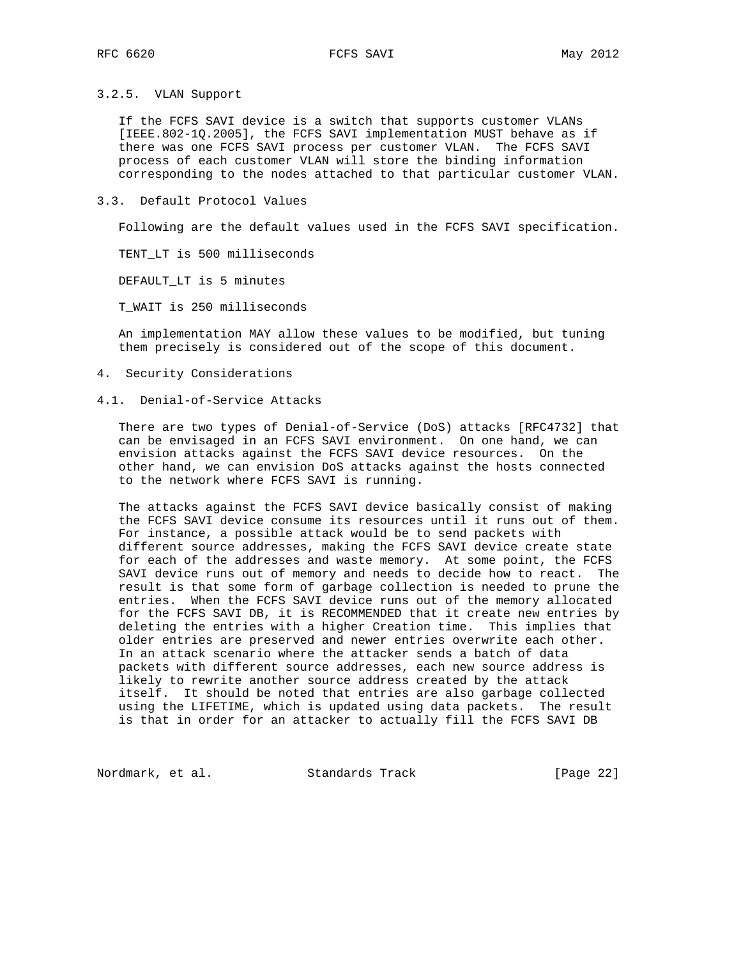### 3.2.5. VLAN Support

 If the FCFS SAVI device is a switch that supports customer VLANs [IEEE.802-1Q.2005], the FCFS SAVI implementation MUST behave as if there was one FCFS SAVI process per customer VLAN. The FCFS SAVI process of each customer VLAN will store the binding information corresponding to the nodes attached to that particular customer VLAN.

### 3.3. Default Protocol Values

Following are the default values used in the FCFS SAVI specification.

TENT\_LT is 500 milliseconds

DEFAULT\_LT is 5 minutes

T\_WAIT is 250 milliseconds

 An implementation MAY allow these values to be modified, but tuning them precisely is considered out of the scope of this document.

4. Security Considerations

### 4.1. Denial-of-Service Attacks

 There are two types of Denial-of-Service (DoS) attacks [RFC4732] that can be envisaged in an FCFS SAVI environment. On one hand, we can envision attacks against the FCFS SAVI device resources. On the other hand, we can envision DoS attacks against the hosts connected to the network where FCFS SAVI is running.

 The attacks against the FCFS SAVI device basically consist of making the FCFS SAVI device consume its resources until it runs out of them. For instance, a possible attack would be to send packets with different source addresses, making the FCFS SAVI device create state for each of the addresses and waste memory. At some point, the FCFS SAVI device runs out of memory and needs to decide how to react. The result is that some form of garbage collection is needed to prune the entries. When the FCFS SAVI device runs out of the memory allocated for the FCFS SAVI DB, it is RECOMMENDED that it create new entries by deleting the entries with a higher Creation time. This implies that older entries are preserved and newer entries overwrite each other. In an attack scenario where the attacker sends a batch of data packets with different source addresses, each new source address is likely to rewrite another source address created by the attack itself. It should be noted that entries are also garbage collected using the LIFETIME, which is updated using data packets. The result is that in order for an attacker to actually fill the FCFS SAVI DB

Nordmark, et al. Standards Track [Page 22]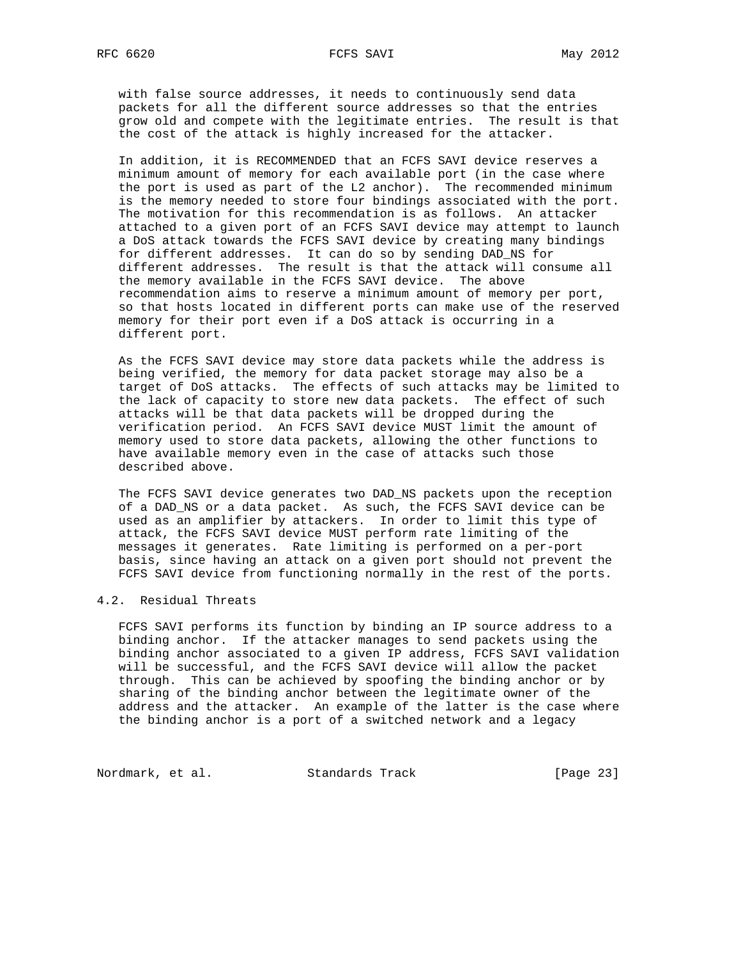with false source addresses, it needs to continuously send data packets for all the different source addresses so that the entries grow old and compete with the legitimate entries. The result is that the cost of the attack is highly increased for the attacker.

 In addition, it is RECOMMENDED that an FCFS SAVI device reserves a minimum amount of memory for each available port (in the case where the port is used as part of the L2 anchor). The recommended minimum is the memory needed to store four bindings associated with the port. The motivation for this recommendation is as follows. An attacker attached to a given port of an FCFS SAVI device may attempt to launch a DoS attack towards the FCFS SAVI device by creating many bindings for different addresses. It can do so by sending DAD\_NS for different addresses. The result is that the attack will consume all the memory available in the FCFS SAVI device. The above recommendation aims to reserve a minimum amount of memory per port, so that hosts located in different ports can make use of the reserved memory for their port even if a DoS attack is occurring in a different port.

 As the FCFS SAVI device may store data packets while the address is being verified, the memory for data packet storage may also be a target of DoS attacks. The effects of such attacks may be limited to the lack of capacity to store new data packets. The effect of such attacks will be that data packets will be dropped during the verification period. An FCFS SAVI device MUST limit the amount of memory used to store data packets, allowing the other functions to have available memory even in the case of attacks such those described above.

 The FCFS SAVI device generates two DAD\_NS packets upon the reception of a DAD\_NS or a data packet. As such, the FCFS SAVI device can be used as an amplifier by attackers. In order to limit this type of attack, the FCFS SAVI device MUST perform rate limiting of the messages it generates. Rate limiting is performed on a per-port basis, since having an attack on a given port should not prevent the FCFS SAVI device from functioning normally in the rest of the ports.

# 4.2. Residual Threats

 FCFS SAVI performs its function by binding an IP source address to a binding anchor. If the attacker manages to send packets using the binding anchor associated to a given IP address, FCFS SAVI validation will be successful, and the FCFS SAVI device will allow the packet through. This can be achieved by spoofing the binding anchor or by sharing of the binding anchor between the legitimate owner of the address and the attacker. An example of the latter is the case where the binding anchor is a port of a switched network and a legacy

Nordmark, et al. Standards Track [Page 23]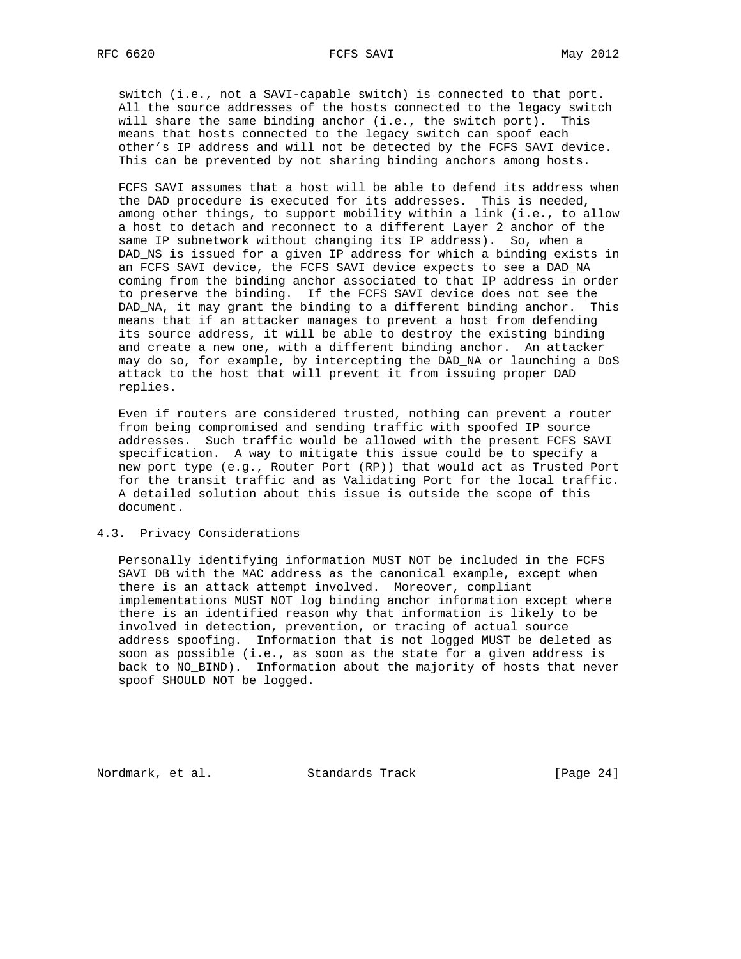switch (i.e., not a SAVI-capable switch) is connected to that port. All the source addresses of the hosts connected to the legacy switch will share the same binding anchor (i.e., the switch port). This means that hosts connected to the legacy switch can spoof each other's IP address and will not be detected by the FCFS SAVI device. This can be prevented by not sharing binding anchors among hosts.

 FCFS SAVI assumes that a host will be able to defend its address when the DAD procedure is executed for its addresses. This is needed, among other things, to support mobility within a link (i.e., to allow a host to detach and reconnect to a different Layer 2 anchor of the same IP subnetwork without changing its IP address). So, when a DAD\_NS is issued for a given IP address for which a binding exists in an FCFS SAVI device, the FCFS SAVI device expects to see a DAD\_NA coming from the binding anchor associated to that IP address in order to preserve the binding. If the FCFS SAVI device does not see the DAD\_NA, it may grant the binding to a different binding anchor. This means that if an attacker manages to prevent a host from defending its source address, it will be able to destroy the existing binding and create a new one, with a different binding anchor. An attacker may do so, for example, by intercepting the DAD\_NA or launching a DoS attack to the host that will prevent it from issuing proper DAD replies.

 Even if routers are considered trusted, nothing can prevent a router from being compromised and sending traffic with spoofed IP source addresses. Such traffic would be allowed with the present FCFS SAVI specification. A way to mitigate this issue could be to specify a new port type (e.g., Router Port (RP)) that would act as Trusted Port for the transit traffic and as Validating Port for the local traffic. A detailed solution about this issue is outside the scope of this document.

## 4.3. Privacy Considerations

 Personally identifying information MUST NOT be included in the FCFS SAVI DB with the MAC address as the canonical example, except when there is an attack attempt involved. Moreover, compliant implementations MUST NOT log binding anchor information except where there is an identified reason why that information is likely to be involved in detection, prevention, or tracing of actual source address spoofing. Information that is not logged MUST be deleted as soon as possible (i.e., as soon as the state for a given address is back to NO\_BIND). Information about the majority of hosts that never spoof SHOULD NOT be logged.

Nordmark, et al. Standards Track [Page 24]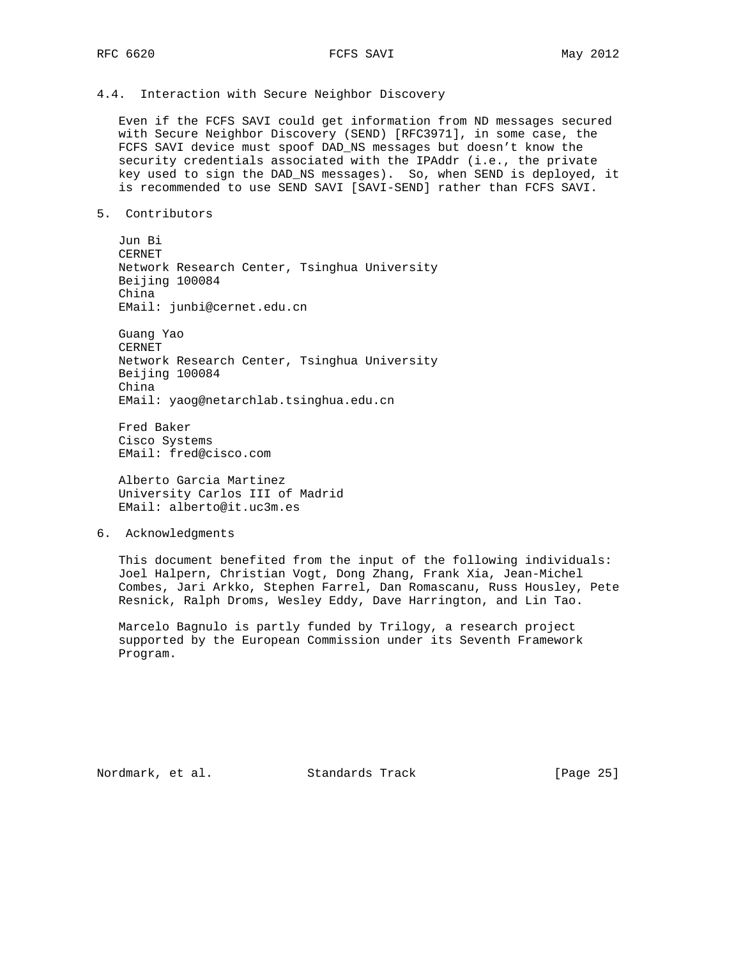## 4.4. Interaction with Secure Neighbor Discovery

 Even if the FCFS SAVI could get information from ND messages secured with Secure Neighbor Discovery (SEND) [RFC3971], in some case, the FCFS SAVI device must spoof DAD\_NS messages but doesn't know the security credentials associated with the IPAddr (i.e., the private key used to sign the DAD\_NS messages). So, when SEND is deployed, it is recommended to use SEND SAVI [SAVI-SEND] rather than FCFS SAVI.

5. Contributors

 Jun Bi CERNET Network Research Center, Tsinghua University Beijing 100084 China EMail: junbi@cernet.edu.cn

 Guang Yao CERNET Network Research Center, Tsinghua University Beijing 100084 China EMail: yaog@netarchlab.tsinghua.edu.cn

 Fred Baker Cisco Systems EMail: fred@cisco.com

 Alberto Garcia Martinez University Carlos III of Madrid EMail: alberto@it.uc3m.es

6. Acknowledgments

 This document benefited from the input of the following individuals: Joel Halpern, Christian Vogt, Dong Zhang, Frank Xia, Jean-Michel Combes, Jari Arkko, Stephen Farrel, Dan Romascanu, Russ Housley, Pete Resnick, Ralph Droms, Wesley Eddy, Dave Harrington, and Lin Tao.

 Marcelo Bagnulo is partly funded by Trilogy, a research project supported by the European Commission under its Seventh Framework Program.

Nordmark, et al. Standards Track [Page 25]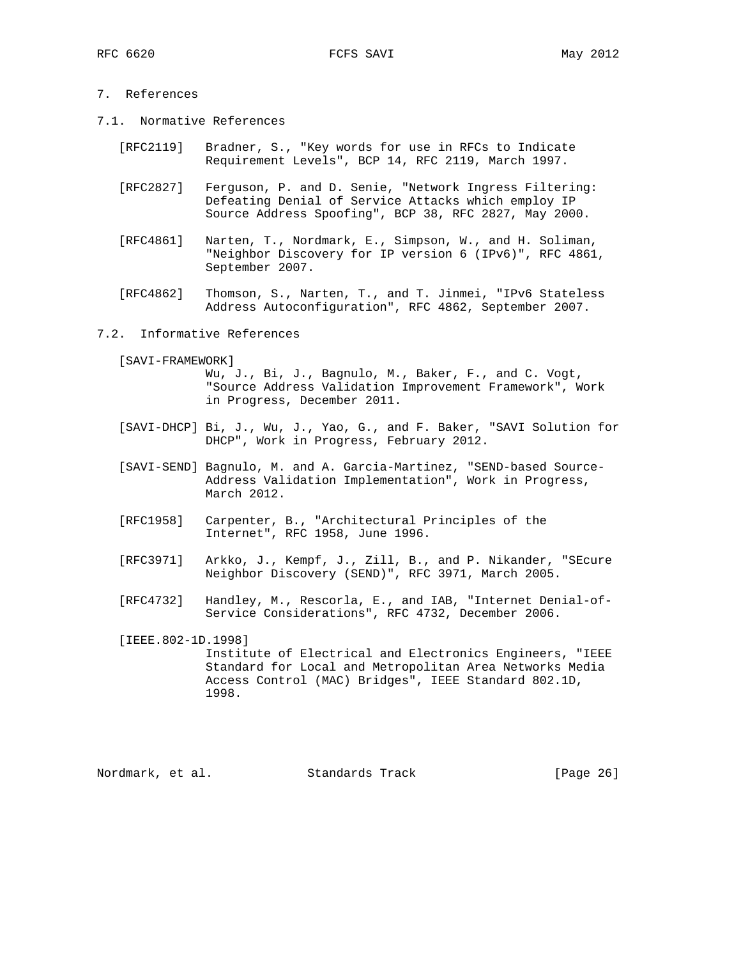# 7. References

- 7.1. Normative References
	- [RFC2119] Bradner, S., "Key words for use in RFCs to Indicate Requirement Levels", BCP 14, RFC 2119, March 1997.
	- [RFC2827] Ferguson, P. and D. Senie, "Network Ingress Filtering: Defeating Denial of Service Attacks which employ IP Source Address Spoofing", BCP 38, RFC 2827, May 2000.
	- [RFC4861] Narten, T., Nordmark, E., Simpson, W., and H. Soliman, "Neighbor Discovery for IP version 6 (IPv6)", RFC 4861, September 2007.
	- [RFC4862] Thomson, S., Narten, T., and T. Jinmei, "IPv6 Stateless Address Autoconfiguration", RFC 4862, September 2007.

### 7.2. Informative References

[SAVI-FRAMEWORK]

 Wu, J., Bi, J., Bagnulo, M., Baker, F., and C. Vogt, "Source Address Validation Improvement Framework", Work in Progress, December 2011.

- [SAVI-DHCP] Bi, J., Wu, J., Yao, G., and F. Baker, "SAVI Solution for DHCP", Work in Progress, February 2012.
- [SAVI-SEND] Bagnulo, M. and A. Garcia-Martinez, "SEND-based Source- Address Validation Implementation", Work in Progress, March 2012.
- [RFC1958] Carpenter, B., "Architectural Principles of the Internet", RFC 1958, June 1996.
- [RFC3971] Arkko, J., Kempf, J., Zill, B., and P. Nikander, "SEcure Neighbor Discovery (SEND)", RFC 3971, March 2005.
- [RFC4732] Handley, M., Rescorla, E., and IAB, "Internet Denial-of- Service Considerations", RFC 4732, December 2006.
- [IEEE.802-1D.1998] Institute of Electrical and Electronics Engineers, "IEEE Standard for Local and Metropolitan Area Networks Media Access Control (MAC) Bridges", IEEE Standard 802.1D, 1998.

Nordmark, et al. Standards Track [Page 26]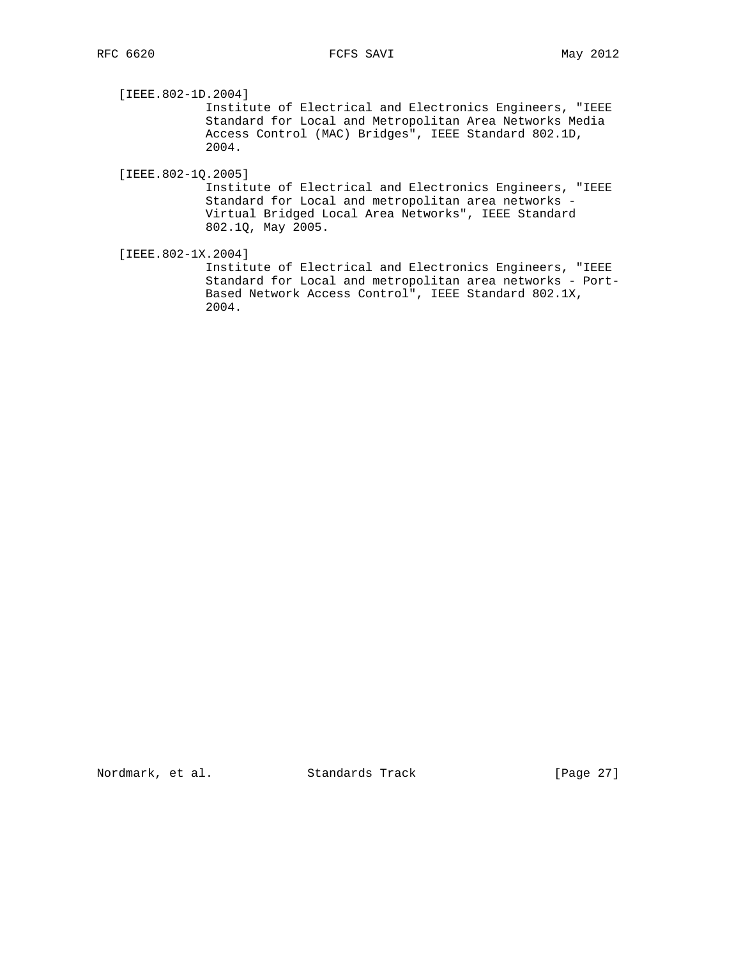[IEEE.802-1D.2004]

 Institute of Electrical and Electronics Engineers, "IEEE Standard for Local and Metropolitan Area Networks Media Access Control (MAC) Bridges", IEEE Standard 802.1D, 2004.

[IEEE.802-1Q.2005]

 Institute of Electrical and Electronics Engineers, "IEEE Standard for Local and metropolitan area networks - Virtual Bridged Local Area Networks", IEEE Standard 802.1Q, May 2005.

[IEEE.802-1X.2004]

 Institute of Electrical and Electronics Engineers, "IEEE Standard for Local and metropolitan area networks - Port- Based Network Access Control", IEEE Standard 802.1X, 2004.

Nordmark, et al. Standards Track [Page 27]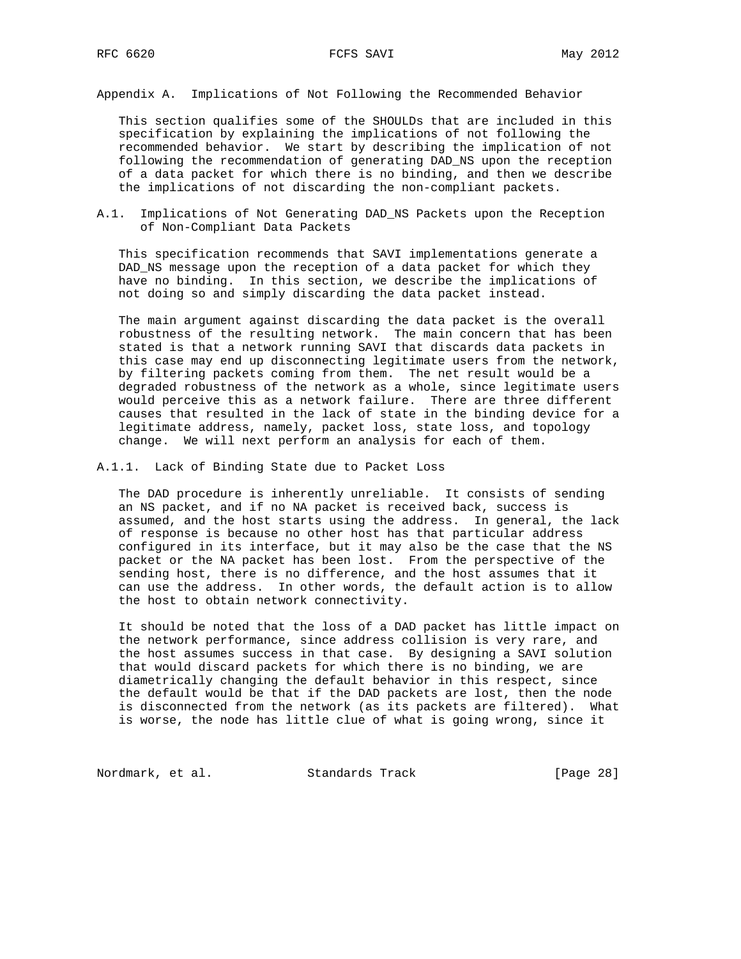Appendix A. Implications of Not Following the Recommended Behavior

 This section qualifies some of the SHOULDs that are included in this specification by explaining the implications of not following the recommended behavior. We start by describing the implication of not following the recommendation of generating DAD\_NS upon the reception of a data packet for which there is no binding, and then we describe the implications of not discarding the non-compliant packets.

A.1. Implications of Not Generating DAD\_NS Packets upon the Reception of Non-Compliant Data Packets

 This specification recommends that SAVI implementations generate a DAD\_NS message upon the reception of a data packet for which they have no binding. In this section, we describe the implications of not doing so and simply discarding the data packet instead.

 The main argument against discarding the data packet is the overall robustness of the resulting network. The main concern that has been stated is that a network running SAVI that discards data packets in this case may end up disconnecting legitimate users from the network, by filtering packets coming from them. The net result would be a degraded robustness of the network as a whole, since legitimate users would perceive this as a network failure. There are three different causes that resulted in the lack of state in the binding device for a legitimate address, namely, packet loss, state loss, and topology change. We will next perform an analysis for each of them.

A.1.1. Lack of Binding State due to Packet Loss

 The DAD procedure is inherently unreliable. It consists of sending an NS packet, and if no NA packet is received back, success is assumed, and the host starts using the address. In general, the lack of response is because no other host has that particular address configured in its interface, but it may also be the case that the NS packet or the NA packet has been lost. From the perspective of the sending host, there is no difference, and the host assumes that it can use the address. In other words, the default action is to allow the host to obtain network connectivity.

 It should be noted that the loss of a DAD packet has little impact on the network performance, since address collision is very rare, and the host assumes success in that case. By designing a SAVI solution that would discard packets for which there is no binding, we are diametrically changing the default behavior in this respect, since the default would be that if the DAD packets are lost, then the node is disconnected from the network (as its packets are filtered). What is worse, the node has little clue of what is going wrong, since it

Nordmark, et al. Standards Track [Page 28]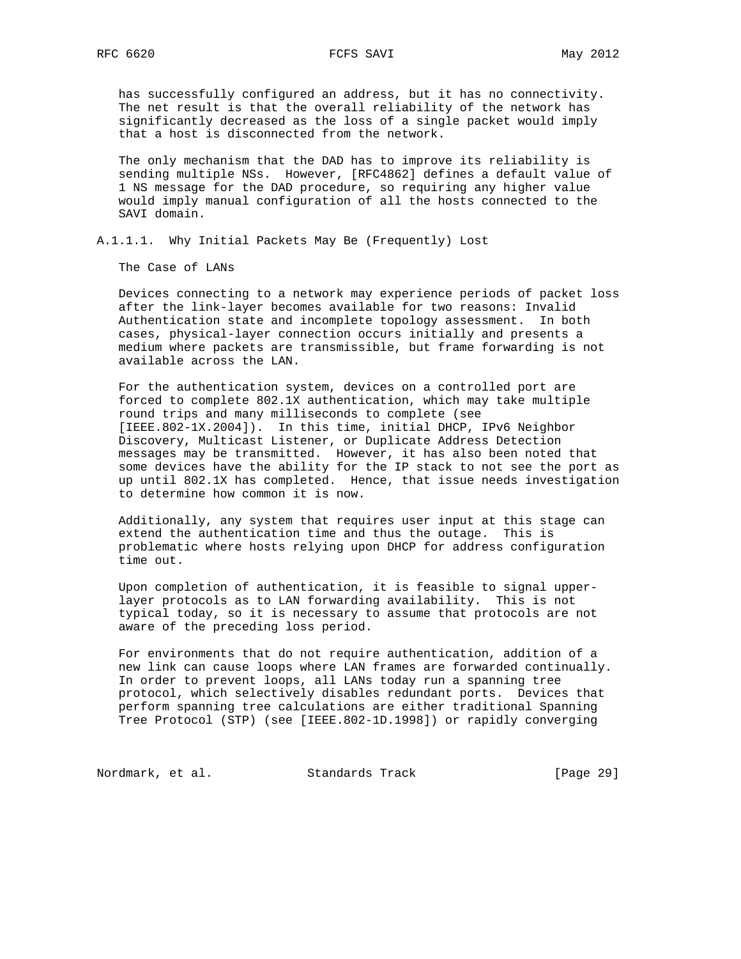has successfully configured an address, but it has no connectivity. The net result is that the overall reliability of the network has significantly decreased as the loss of a single packet would imply that a host is disconnected from the network.

 The only mechanism that the DAD has to improve its reliability is sending multiple NSs. However, [RFC4862] defines a default value of 1 NS message for the DAD procedure, so requiring any higher value would imply manual configuration of all the hosts connected to the SAVI domain.

A.1.1.1. Why Initial Packets May Be (Frequently) Lost

The Case of LANs

 Devices connecting to a network may experience periods of packet loss after the link-layer becomes available for two reasons: Invalid Authentication state and incomplete topology assessment. In both cases, physical-layer connection occurs initially and presents a medium where packets are transmissible, but frame forwarding is not available across the LAN.

 For the authentication system, devices on a controlled port are forced to complete 802.1X authentication, which may take multiple round trips and many milliseconds to complete (see [IEEE.802-1X.2004]). In this time, initial DHCP, IPv6 Neighbor Discovery, Multicast Listener, or Duplicate Address Detection messages may be transmitted. However, it has also been noted that some devices have the ability for the IP stack to not see the port as up until 802.1X has completed. Hence, that issue needs investigation to determine how common it is now.

 Additionally, any system that requires user input at this stage can extend the authentication time and thus the outage. This is problematic where hosts relying upon DHCP for address configuration time out.

 Upon completion of authentication, it is feasible to signal upper layer protocols as to LAN forwarding availability. This is not typical today, so it is necessary to assume that protocols are not aware of the preceding loss period.

 For environments that do not require authentication, addition of a new link can cause loops where LAN frames are forwarded continually. In order to prevent loops, all LANs today run a spanning tree protocol, which selectively disables redundant ports. Devices that perform spanning tree calculations are either traditional Spanning Tree Protocol (STP) (see [IEEE.802-1D.1998]) or rapidly converging

Nordmark, et al. Standards Track [Page 29]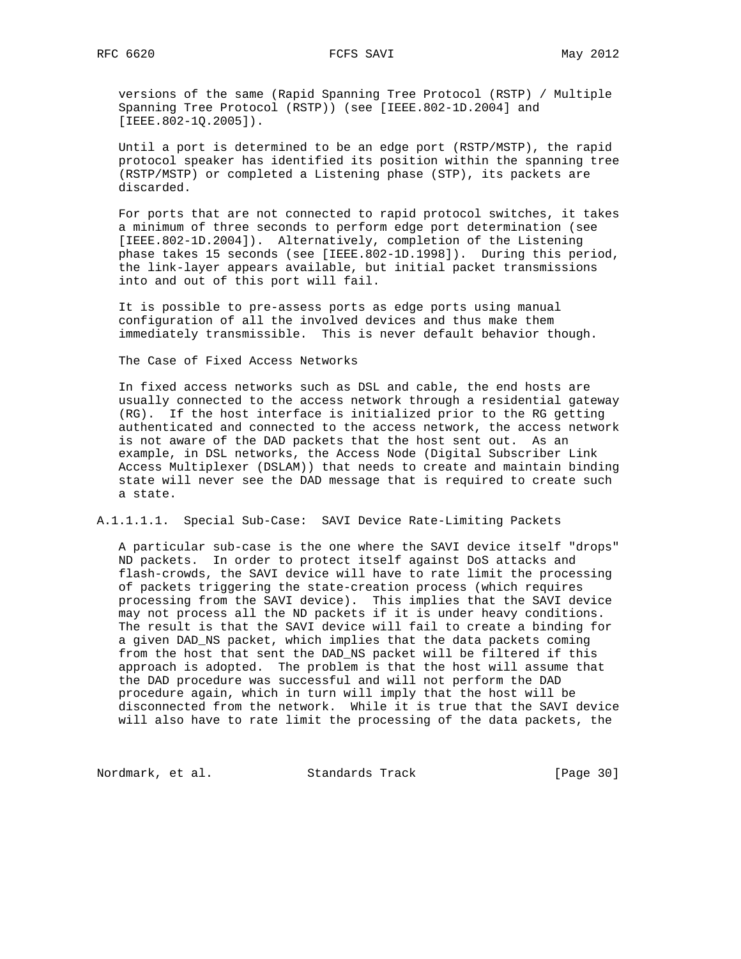versions of the same (Rapid Spanning Tree Protocol (RSTP) / Multiple Spanning Tree Protocol (RSTP)) (see [IEEE.802-1D.2004] and [IEEE.802-1Q.2005]).

 Until a port is determined to be an edge port (RSTP/MSTP), the rapid protocol speaker has identified its position within the spanning tree (RSTP/MSTP) or completed a Listening phase (STP), its packets are discarded.

 For ports that are not connected to rapid protocol switches, it takes a minimum of three seconds to perform edge port determination (see [IEEE.802-1D.2004]). Alternatively, completion of the Listening phase takes 15 seconds (see [IEEE.802-1D.1998]). During this period, the link-layer appears available, but initial packet transmissions into and out of this port will fail.

 It is possible to pre-assess ports as edge ports using manual configuration of all the involved devices and thus make them immediately transmissible. This is never default behavior though.

The Case of Fixed Access Networks

 In fixed access networks such as DSL and cable, the end hosts are usually connected to the access network through a residential gateway (RG). If the host interface is initialized prior to the RG getting authenticated and connected to the access network, the access network is not aware of the DAD packets that the host sent out. As an example, in DSL networks, the Access Node (Digital Subscriber Link Access Multiplexer (DSLAM)) that needs to create and maintain binding state will never see the DAD message that is required to create such a state.

A.1.1.1.1. Special Sub-Case: SAVI Device Rate-Limiting Packets

 A particular sub-case is the one where the SAVI device itself "drops" ND packets. In order to protect itself against DoS attacks and flash-crowds, the SAVI device will have to rate limit the processing of packets triggering the state-creation process (which requires processing from the SAVI device). This implies that the SAVI device may not process all the ND packets if it is under heavy conditions. The result is that the SAVI device will fail to create a binding for a given DAD\_NS packet, which implies that the data packets coming from the host that sent the DAD\_NS packet will be filtered if this approach is adopted. The problem is that the host will assume that the DAD procedure was successful and will not perform the DAD procedure again, which in turn will imply that the host will be disconnected from the network. While it is true that the SAVI device will also have to rate limit the processing of the data packets, the

Nordmark, et al. Standards Track [Page 30]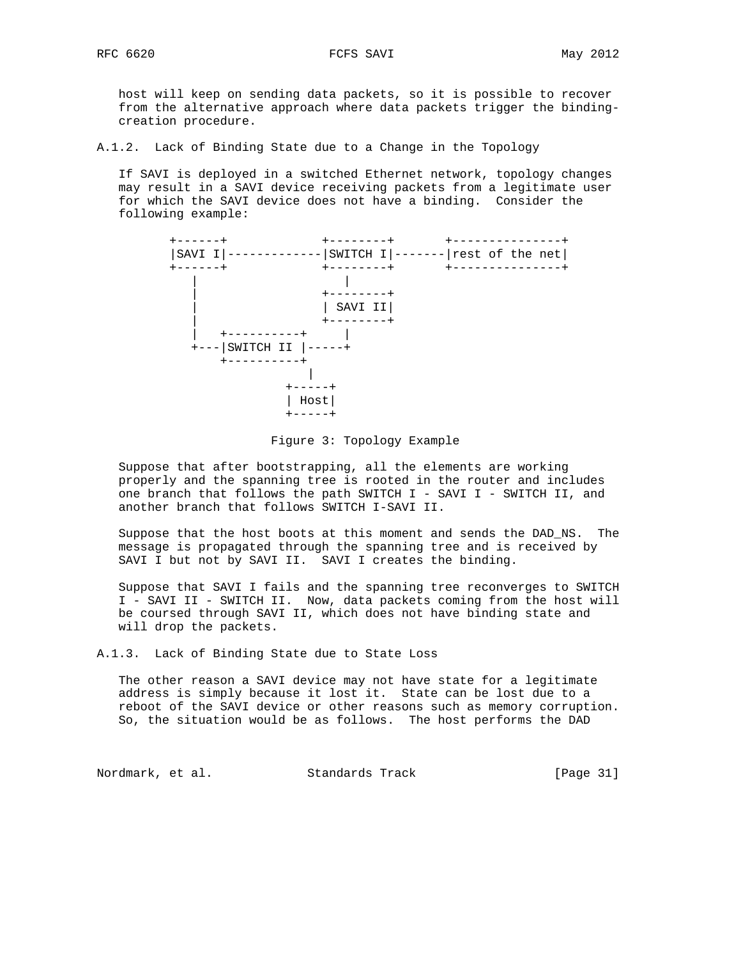host will keep on sending data packets, so it is possible to recover from the alternative approach where data packets trigger the binding creation procedure.

A.1.2. Lack of Binding State due to a Change in the Topology

 If SAVI is deployed in a switched Ethernet network, topology changes may result in a SAVI device receiving packets from a legitimate user for which the SAVI device does not have a binding. Consider the following example:



Figure 3: Topology Example

 Suppose that after bootstrapping, all the elements are working properly and the spanning tree is rooted in the router and includes one branch that follows the path SWITCH I - SAVI I - SWITCH II, and another branch that follows SWITCH I-SAVI II.

 Suppose that the host boots at this moment and sends the DAD\_NS. The message is propagated through the spanning tree and is received by SAVI I but not by SAVI II. SAVI I creates the binding.

 Suppose that SAVI I fails and the spanning tree reconverges to SWITCH I - SAVI II - SWITCH II. Now, data packets coming from the host will be coursed through SAVI II, which does not have binding state and will drop the packets.

A.1.3. Lack of Binding State due to State Loss

 The other reason a SAVI device may not have state for a legitimate address is simply because it lost it. State can be lost due to a reboot of the SAVI device or other reasons such as memory corruption. So, the situation would be as follows. The host performs the DAD

Nordmark, et al. Standards Track [Page 31]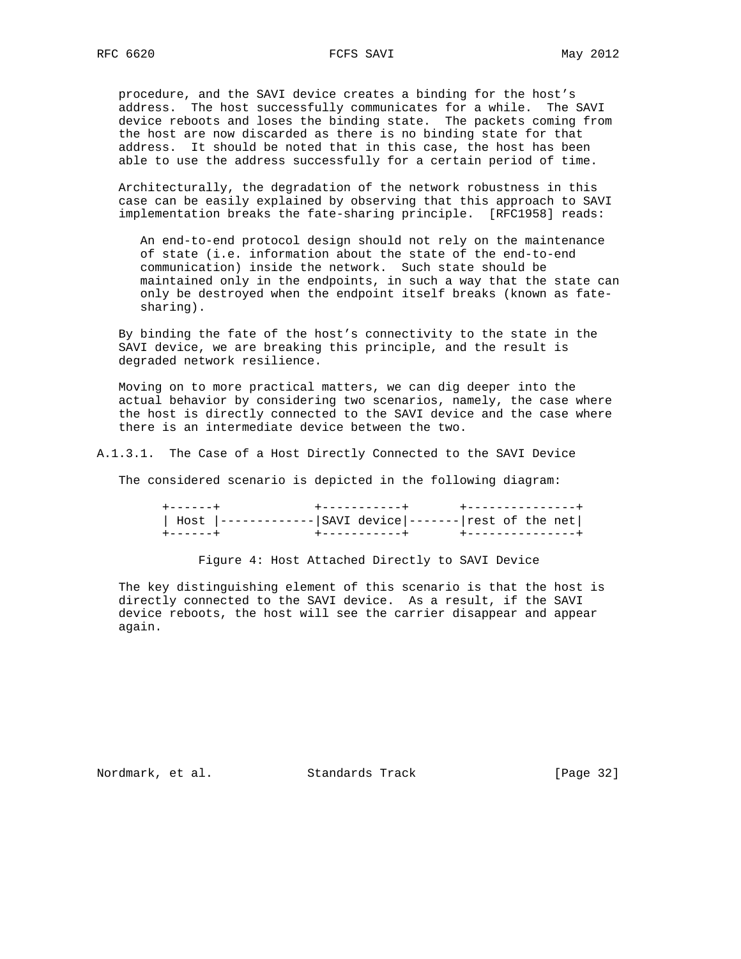procedure, and the SAVI device creates a binding for the host's address. The host successfully communicates for a while. The SAVI device reboots and loses the binding state. The packets coming from the host are now discarded as there is no binding state for that address. It should be noted that in this case, the host has been able to use the address successfully for a certain period of time.

 Architecturally, the degradation of the network robustness in this case can be easily explained by observing that this approach to SAVI implementation breaks the fate-sharing principle. [RFC1958] reads:

 An end-to-end protocol design should not rely on the maintenance of state (i.e. information about the state of the end-to-end communication) inside the network. Such state should be maintained only in the endpoints, in such a way that the state can only be destroyed when the endpoint itself breaks (known as fate sharing).

 By binding the fate of the host's connectivity to the state in the SAVI device, we are breaking this principle, and the result is degraded network resilience.

 Moving on to more practical matters, we can dig deeper into the actual behavior by considering two scenarios, namely, the case where the host is directly connected to the SAVI device and the case where there is an intermediate device between the two.

A.1.3.1. The Case of a Host Directly Connected to the SAVI Device

The considered scenario is depicted in the following diagram:

 +------+ +-----------+ +---------------+ | Host |-------------|SAVI device|-------|rest of the net| +------+ +-----------+ +---------------+

Figure 4: Host Attached Directly to SAVI Device

 The key distinguishing element of this scenario is that the host is directly connected to the SAVI device. As a result, if the SAVI device reboots, the host will see the carrier disappear and appear again.

Nordmark, et al. Standards Track [Page 32]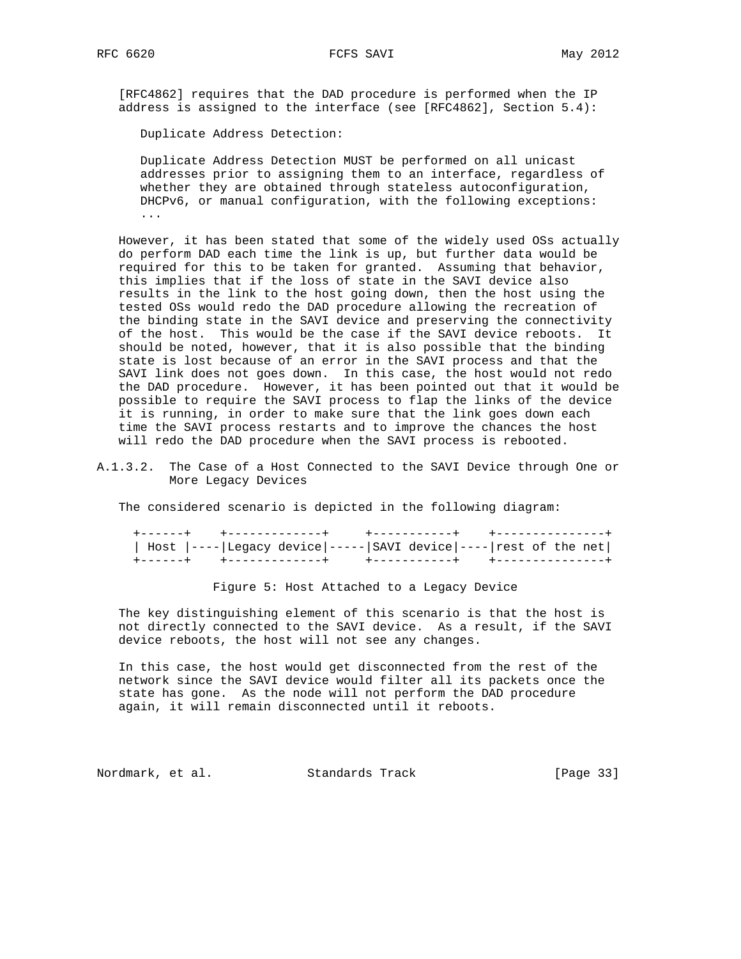RFC 6620 FCFS SAVI May 2012

 [RFC4862] requires that the DAD procedure is performed when the IP address is assigned to the interface (see [RFC4862], Section 5.4):

Duplicate Address Detection:

 Duplicate Address Detection MUST be performed on all unicast addresses prior to assigning them to an interface, regardless of whether they are obtained through stateless autoconfiguration, DHCPv6, or manual configuration, with the following exceptions: ...

 However, it has been stated that some of the widely used OSs actually do perform DAD each time the link is up, but further data would be required for this to be taken for granted. Assuming that behavior, this implies that if the loss of state in the SAVI device also results in the link to the host going down, then the host using the tested OSs would redo the DAD procedure allowing the recreation of the binding state in the SAVI device and preserving the connectivity of the host. This would be the case if the SAVI device reboots. It should be noted, however, that it is also possible that the binding state is lost because of an error in the SAVI process and that the SAVI link does not goes down. In this case, the host would not redo the DAD procedure. However, it has been pointed out that it would be possible to require the SAVI process to flap the links of the device it is running, in order to make sure that the link goes down each time the SAVI process restarts and to improve the chances the host will redo the DAD procedure when the SAVI process is rebooted.

A.1.3.2. The Case of a Host Connected to the SAVI Device through One or More Legacy Devices

The considered scenario is depicted in the following diagram:

| Host  ---- Legacy device ----- SAVI device ---- rest of the net |  |  |  |  |
|-----------------------------------------------------------------|--|--|--|--|
|                                                                 |  |  |  |  |

Figure 5: Host Attached to a Legacy Device

 The key distinguishing element of this scenario is that the host is not directly connected to the SAVI device. As a result, if the SAVI device reboots, the host will not see any changes.

 In this case, the host would get disconnected from the rest of the network since the SAVI device would filter all its packets once the state has gone. As the node will not perform the DAD procedure again, it will remain disconnected until it reboots.

Nordmark, et al. Standards Track [Page 33]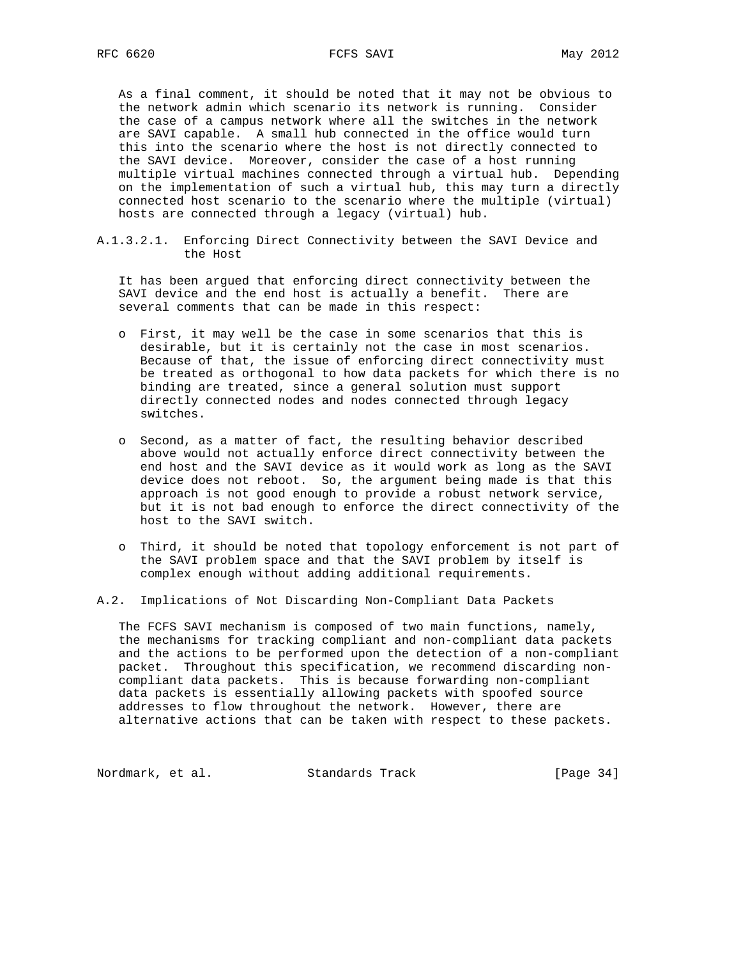As a final comment, it should be noted that it may not be obvious to the network admin which scenario its network is running. Consider the case of a campus network where all the switches in the network are SAVI capable. A small hub connected in the office would turn this into the scenario where the host is not directly connected to the SAVI device. Moreover, consider the case of a host running multiple virtual machines connected through a virtual hub. Depending on the implementation of such a virtual hub, this may turn a directly connected host scenario to the scenario where the multiple (virtual) hosts are connected through a legacy (virtual) hub.

A.1.3.2.1. Enforcing Direct Connectivity between the SAVI Device and the Host

 It has been argued that enforcing direct connectivity between the SAVI device and the end host is actually a benefit. There are several comments that can be made in this respect:

- o First, it may well be the case in some scenarios that this is desirable, but it is certainly not the case in most scenarios. Because of that, the issue of enforcing direct connectivity must be treated as orthogonal to how data packets for which there is no binding are treated, since a general solution must support directly connected nodes and nodes connected through legacy switches.
- o Second, as a matter of fact, the resulting behavior described above would not actually enforce direct connectivity between the end host and the SAVI device as it would work as long as the SAVI device does not reboot. So, the argument being made is that this approach is not good enough to provide a robust network service, but it is not bad enough to enforce the direct connectivity of the host to the SAVI switch.
- o Third, it should be noted that topology enforcement is not part of the SAVI problem space and that the SAVI problem by itself is complex enough without adding additional requirements.
- A.2. Implications of Not Discarding Non-Compliant Data Packets

 The FCFS SAVI mechanism is composed of two main functions, namely, the mechanisms for tracking compliant and non-compliant data packets and the actions to be performed upon the detection of a non-compliant packet. Throughout this specification, we recommend discarding non compliant data packets. This is because forwarding non-compliant data packets is essentially allowing packets with spoofed source addresses to flow throughout the network. However, there are alternative actions that can be taken with respect to these packets.

Nordmark, et al. Standards Track [Page 34]